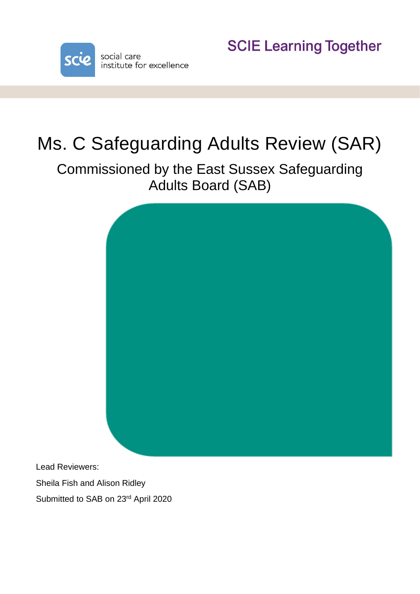

**SCIE Learning Together** 

# Ms. C Safeguarding Adults Review (SAR)

Commissioned by the East Sussex Safeguarding Adults Board (SAB)



Lead Reviewers:

Sheila Fish and Alison Ridley

Submitted to SAB on 23rd April 2020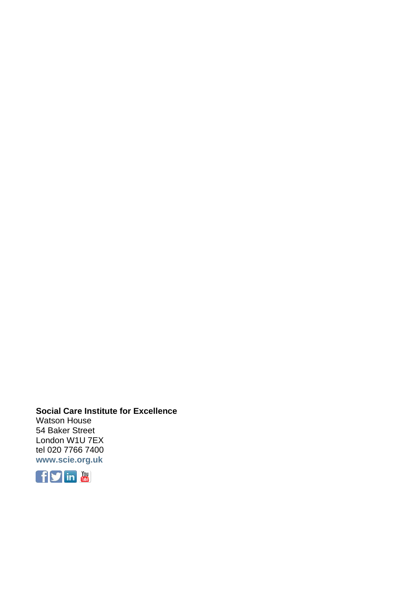**Social Care Institute for Excellence**  Watson House 54 Baker Street London W1U 7EX tel 020 7766 7400 **[www.scie.org.uk](http://www.scie.org.uk/)**

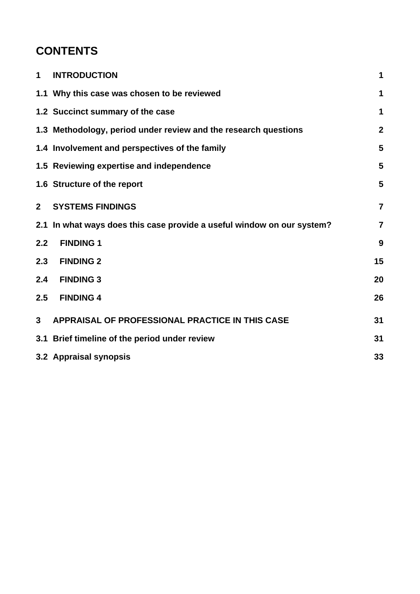# **CONTENTS**

| 1              | <b>INTRODUCTION</b>                                                | 1                |
|----------------|--------------------------------------------------------------------|------------------|
|                | 1.1 Why this case was chosen to be reviewed                        | 1                |
|                | 1.2 Succinct summary of the case                                   | 1                |
|                | 1.3 Methodology, period under review and the research questions    | $\boldsymbol{2}$ |
|                | 1.4 Involvement and perspectives of the family                     | 5                |
|                | 1.5 Reviewing expertise and independence                           | 5                |
|                | 1.6 Structure of the report                                        | 5                |
| 2 <sup>1</sup> | <b>SYSTEMS FINDINGS</b>                                            | $\overline{7}$   |
| 2.1            | In what ways does this case provide a useful window on our system? | $\overline{7}$   |
| 2.2            | <b>FINDING 1</b>                                                   | 9                |
| 2.3            | <b>FINDING 2</b>                                                   | 15               |
| 2.4            | <b>FINDING 3</b>                                                   | 20               |
| 2.5            | <b>FINDING 4</b>                                                   | 26               |
| 3              | APPRAISAL OF PROFESSIONAL PRACTICE IN THIS CASE                    | 31               |
|                | 3.1 Brief timeline of the period under review                      | 31               |
|                | 3.2 Appraisal synopsis                                             | 33               |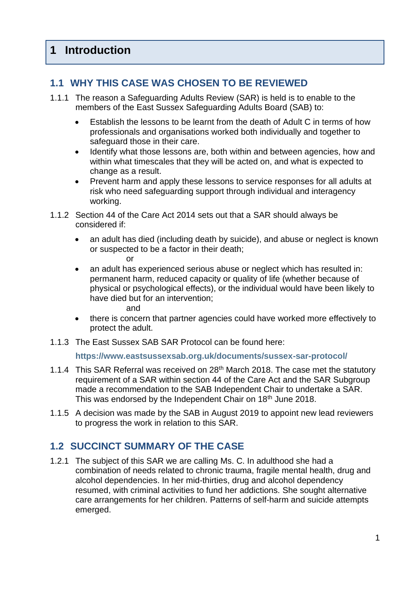# <span id="page-3-0"></span>**1 Introduction**

## <span id="page-3-1"></span>**1.1 WHY THIS CASE WAS CHOSEN TO BE REVIEWED**

- 1.1.1 The reason a Safeguarding Adults Review (SAR) is held is to enable to the members of the East Sussex Safeguarding Adults Board (SAB) to:
	- Establish the lessons to be learnt from the death of Adult C in terms of how professionals and organisations worked both individually and together to safeguard those in their care.
	- Identify what those lessons are, both within and between agencies, how and within what timescales that they will be acted on, and what is expected to change as a result.
	- Prevent harm and apply these lessons to service responses for all adults at risk who need safeguarding support through individual and interagency working.
- 1.1.2 Section 44 of the Care Act 2014 sets out that a SAR should always be considered if:
	- an adult has died (including death by suicide), and abuse or neglect is known or suspected to be a factor in their death;

or

• an adult has experienced serious abuse or neglect which has resulted in: permanent harm, reduced capacity or quality of life (whether because of physical or psychological effects), or the individual would have been likely to have died but for an intervention;

and

- there is concern that partner agencies could have worked more effectively to protect the adult.
- 1.1.3 The East Sussex SAB SAR Protocol can be found here:

#### **<https://www.eastsussexsab.org.uk/documents/sussex-sar-protocol/>**

- 1.1.4 This SAR Referral was received on 28<sup>th</sup> March 2018. The case met the statutory requirement of a SAR within section 44 of the Care Act and the SAR Subgroup made a recommendation to the SAB Independent Chair to undertake a SAR. This was endorsed by the Independent Chair on 18<sup>th</sup> June 2018.
- 1.1.5 A decision was made by the SAB in August 2019 to appoint new lead reviewers to progress the work in relation to this SAR.

## <span id="page-3-2"></span>**1.2 SUCCINCT SUMMARY OF THE CASE**

1.2.1 The subject of this SAR we are calling Ms. C. In adulthood she had a combination of needs related to chronic trauma, fragile mental health, drug and alcohol dependencies. In her mid-thirties, drug and alcohol dependency resumed, with criminal activities to fund her addictions. She sought alternative care arrangements for her children. Patterns of self-harm and suicide attempts emerged.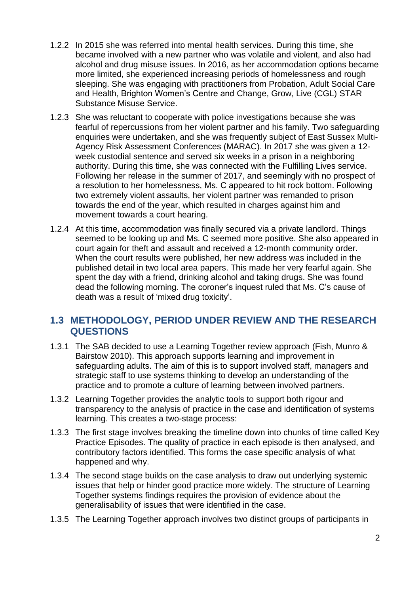- 1.2.2 In 2015 she was referred into mental health services. During this time, she became involved with a new partner who was volatile and violent, and also had alcohol and drug misuse issues. In 2016, as her accommodation options became more limited, she experienced increasing periods of homelessness and rough sleeping. She was engaging with practitioners from Probation, Adult Social Care and Health, Brighton Women's Centre and Change, Grow, Live (CGL) STAR Substance Misuse Service.
- 1.2.3 She was reluctant to cooperate with police investigations because she was fearful of repercussions from her violent partner and his family. Two safeguarding enquiries were undertaken, and she was frequently subject of East Sussex Multi-Agency Risk Assessment Conferences (MARAC). In 2017 she was given a 12 week custodial sentence and served six weeks in a prison in a neighboring authority. During this time, she was connected with the Fulfilling Lives service. Following her release in the summer of 2017, and seemingly with no prospect of a resolution to her homelessness, Ms. C appeared to hit rock bottom. Following two extremely violent assaults, her violent partner was remanded to prison towards the end of the year, which resulted in charges against him and movement towards a court hearing.
- 1.2.4 At this time, accommodation was finally secured via a private landlord. Things seemed to be looking up and Ms. C seemed more positive. She also appeared in court again for theft and assault and received a 12-month community order. When the court results were published, her new address was included in the published detail in two local area papers. This made her very fearful again. She spent the day with a friend, drinking alcohol and taking drugs. She was found dead the following morning. The coroner's inquest ruled that Ms. C's cause of death was a result of 'mixed drug toxicity'.

#### <span id="page-4-0"></span>**1.3 METHODOLOGY, PERIOD UNDER REVIEW AND THE RESEARCH QUESTIONS**

- 1.3.1 The SAB decided to use a Learning Together review approach (Fish, Munro & Bairstow 2010). This approach supports learning and improvement in safeguarding adults. The aim of this is to support involved staff, managers and strategic staff to use systems thinking to develop an understanding of the practice and to promote a culture of learning between involved partners.
- 1.3.2 Learning Together provides the analytic tools to support both rigour and transparency to the analysis of practice in the case and identification of systems learning. This creates a two-stage process:
- 1.3.3 The first stage involves breaking the timeline down into chunks of time called Key Practice Episodes. The quality of practice in each episode is then analysed, and contributory factors identified. This forms the case specific analysis of what happened and why.
- 1.3.4 The second stage builds on the case analysis to draw out underlying systemic issues that help or hinder good practice more widely. The structure of Learning Together systems findings requires the provision of evidence about the generalisability of issues that were identified in the case.
- 1.3.5 The Learning Together approach involves two distinct groups of participants in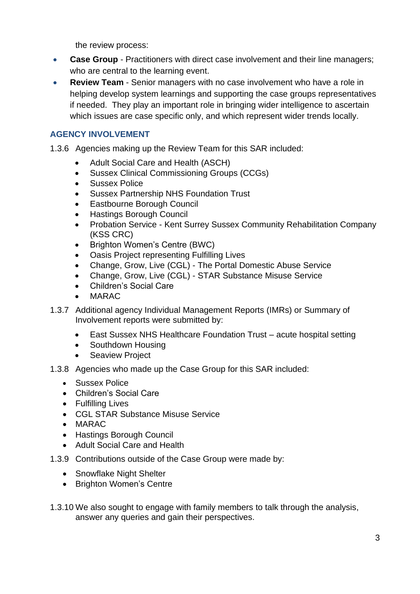the review process:

- **Case Group** Practitioners with direct case involvement and their line managers; who are central to the learning event.
- **Review Team** Senior managers with no case involvement who have a role in helping develop system learnings and supporting the case groups representatives if needed. They play an important role in bringing wider intelligence to ascertain which issues are case specific only, and which represent wider trends locally.

#### **AGENCY INVOLVEMENT**

- 1.3.6 Agencies making up the Review Team for this SAR included:
	- Adult Social Care and Health (ASCH)
	- Sussex Clinical Commissioning Groups (CCGs)
	- Sussex Police
	- Sussex Partnership NHS Foundation Trust
	- Eastbourne Borough Council
	- Hastings Borough Council
	- Probation Service Kent Surrey Sussex Community Rehabilitation Company (KSS CRC)
	- Brighton Women's Centre (BWC)
	- Oasis Project representing Fulfilling Lives
	- Change, Grow, Live (CGL) The Portal Domestic Abuse Service
	- Change, Grow, Live (CGL) STAR Substance Misuse Service
	- Children's Social Care
	- MARAC
- 1.3.7 Additional agency Individual Management Reports (IMRs) or Summary of Involvement reports were submitted by:
	- East Sussex NHS Healthcare Foundation Trust acute hospital setting
	- Southdown Housing
	- Seaview Project
- 1.3.8 Agencies who made up the Case Group for this SAR included:
	- Sussex Police
	- Children's Social Care
	- Fulfilling Lives
	- CGL STAR Substance Misuse Service
	- MARAC
	- Hastings Borough Council
	- Adult Social Care and Health
- 1.3.9 Contributions outside of the Case Group were made by:
	- Snowflake Night Shelter
	- Brighton Women's Centre
- 1.3.10 We also sought to engage with family members to talk through the analysis, answer any queries and gain their perspectives.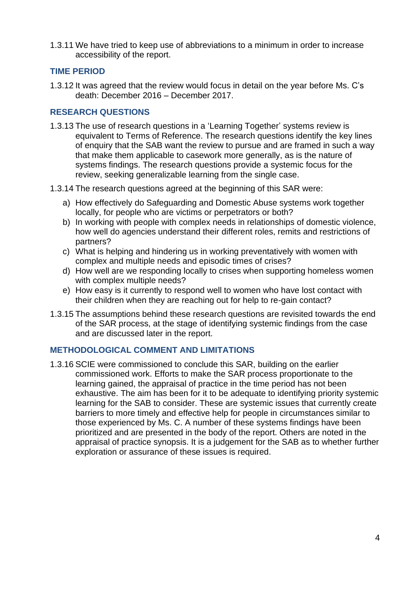1.3.11 We have tried to keep use of abbreviations to a minimum in order to increase accessibility of the report.

#### **TIME PERIOD**

1.3.12 It was agreed that the review would focus in detail on the year before Ms. C's death: December 2016 – December 2017.

#### **RESEARCH QUESTIONS**

- 1.3.13 The use of research questions in a 'Learning Together' systems review is equivalent to Terms of Reference. The research questions identify the key lines of enquiry that the SAB want the review to pursue and are framed in such a way that make them applicable to casework more generally, as is the nature of systems findings. The research questions provide a systemic focus for the review, seeking generalizable learning from the single case.
- 1.3.14 The research questions agreed at the beginning of this SAR were:
	- a) How effectively do Safeguarding and Domestic Abuse systems work together locally, for people who are victims or perpetrators or both?
	- b) In working with people with complex needs in relationships of domestic violence, how well do agencies understand their different roles, remits and restrictions of partners?
	- c) What is helping and hindering us in working preventatively with women with complex and multiple needs and episodic times of crises?
	- d) How well are we responding locally to crises when supporting homeless women with complex multiple needs?
	- e) How easy is it currently to respond well to women who have lost contact with their children when they are reaching out for help to re-gain contact?
- 1.3.15 The assumptions behind these research questions are revisited towards the end of the SAR process, at the stage of identifying systemic findings from the case and are discussed later in the report.

#### **METHODOLOGICAL COMMENT AND LIMITATIONS**

1.3.16 SCIE were commissioned to conclude this SAR, building on the earlier commissioned work. Efforts to make the SAR process proportionate to the learning gained, the appraisal of practice in the time period has not been exhaustive. The aim has been for it to be adequate to identifying priority systemic learning for the SAB to consider. These are systemic issues that currently create barriers to more timely and effective help for people in circumstances similar to those experienced by Ms. C. A number of these systems findings have been prioritized and are presented in the body of the report. Others are noted in the appraisal of practice synopsis. It is a judgement for the SAB as to whether further exploration or assurance of these issues is required.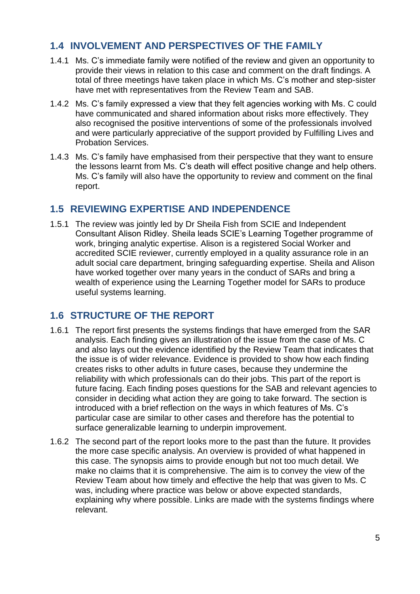## <span id="page-7-0"></span>**1.4 INVOLVEMENT AND PERSPECTIVES OF THE FAMILY**

- 1.4.1 Ms. C's immediate family were notified of the review and given an opportunity to provide their views in relation to this case and comment on the draft findings. A total of three meetings have taken place in which Ms. C's mother and step-sister have met with representatives from the Review Team and SAB.
- 1.4.2 Ms. C's family expressed a view that they felt agencies working with Ms. C could have communicated and shared information about risks more effectively. They also recognised the positive interventions of some of the professionals involved and were particularly appreciative of the support provided by Fulfilling Lives and Probation Services.
- 1.4.3 Ms. C's family have emphasised from their perspective that they want to ensure the lessons learnt from Ms. C's death will effect positive change and help others. Ms. C's family will also have the opportunity to review and comment on the final report.

#### <span id="page-7-1"></span>**1.5 REVIEWING EXPERTISE AND INDEPENDENCE**

1.5.1 The review was jointly led by Dr Sheila Fish from SCIE and Independent Consultant Alison Ridley. Sheila leads SCIE's Learning Together programme of work, bringing analytic expertise. Alison is a registered Social Worker and accredited SCIE reviewer, currently employed in a quality assurance role in an adult social care department, bringing safeguarding expertise. Sheila and Alison have worked together over many years in the conduct of SARs and bring a wealth of experience using the Learning Together model for SARs to produce useful systems learning.

#### <span id="page-7-2"></span>**1.6 STRUCTURE OF THE REPORT**

- 1.6.1 The report first presents the systems findings that have emerged from the SAR analysis. Each finding gives an illustration of the issue from the case of Ms. C and also lays out the evidence identified by the Review Team that indicates that the issue is of wider relevance. Evidence is provided to show how each finding creates risks to other adults in future cases, because they undermine the reliability with which professionals can do their jobs. This part of the report is future facing. Each finding poses questions for the SAB and relevant agencies to consider in deciding what action they are going to take forward. The section is introduced with a brief reflection on the ways in which features of Ms. C's particular case are similar to other cases and therefore has the potential to surface generalizable learning to underpin improvement.
- 1.6.2 The second part of the report looks more to the past than the future. It provides the more case specific analysis. An overview is provided of what happened in this case. The synopsis aims to provide enough but not too much detail. We make no claims that it is comprehensive. The aim is to convey the view of the Review Team about how timely and effective the help that was given to Ms. C was, including where practice was below or above expected standards, explaining why where possible. Links are made with the systems findings where relevant.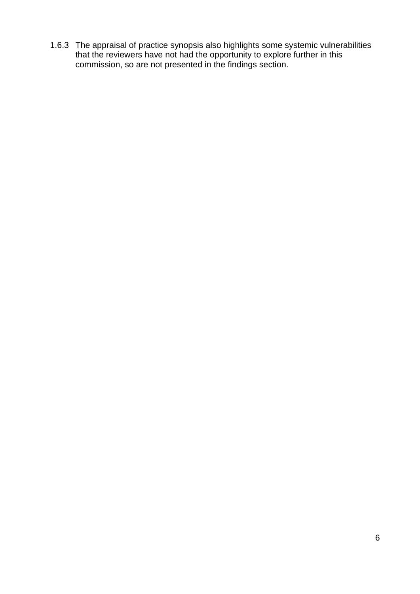1.6.3 The appraisal of practice synopsis also highlights some systemic vulnerabilities that the reviewers have not had the opportunity to explore further in this commission, so are not presented in the findings section.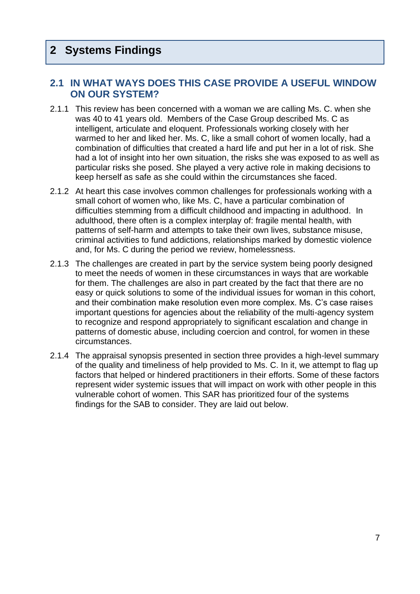# <span id="page-9-0"></span>**2 Systems Findings**

#### <span id="page-9-1"></span>**2.1 IN WHAT WAYS DOES THIS CASE PROVIDE A USEFUL WINDOW ON OUR SYSTEM?**

- 2.1.1 This review has been concerned with a woman we are calling Ms. C. when she was 40 to 41 years old. Members of the Case Group described Ms. C as intelligent, articulate and eloquent. Professionals working closely with her warmed to her and liked her. Ms. C, like a small cohort of women locally, had a combination of difficulties that created a hard life and put her in a lot of risk. She had a lot of insight into her own situation, the risks she was exposed to as well as particular risks she posed. She played a very active role in making decisions to keep herself as safe as she could within the circumstances she faced.
- 2.1.2 At heart this case involves common challenges for professionals working with a small cohort of women who, like Ms. C, have a particular combination of difficulties stemming from a difficult childhood and impacting in adulthood. In adulthood, there often is a complex interplay of: fragile mental health, with patterns of self-harm and attempts to take their own lives, substance misuse, criminal activities to fund addictions, relationships marked by domestic violence and, for Ms. C during the period we review, homelessness.
- 2.1.3 The challenges are created in part by the service system being poorly designed to meet the needs of women in these circumstances in ways that are workable for them. The challenges are also in part created by the fact that there are no easy or quick solutions to some of the individual issues for woman in this cohort, and their combination make resolution even more complex. Ms. C's case raises important questions for agencies about the reliability of the multi-agency system to recognize and respond appropriately to significant escalation and change in patterns of domestic abuse, including coercion and control, for women in these circumstances.
- 2.1.4 The appraisal synopsis presented in section three provides a high-level summary of the quality and timeliness of help provided to Ms. C. In it, we attempt to flag up factors that helped or hindered practitioners in their efforts. Some of these factors represent wider systemic issues that will impact on work with other people in this vulnerable cohort of women. This SAR has prioritized four of the systems findings for the SAB to consider. They are laid out below.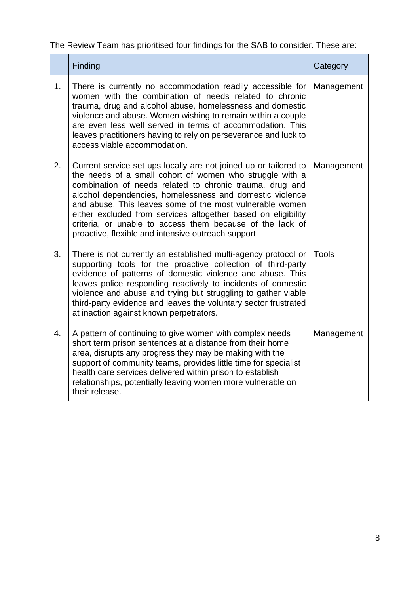The Review Team has prioritised four findings for the SAB to consider. These are:

|    | Finding                                                                                                                                                                                                                                                                                                                                                                                                                                                                                               | Category     |
|----|-------------------------------------------------------------------------------------------------------------------------------------------------------------------------------------------------------------------------------------------------------------------------------------------------------------------------------------------------------------------------------------------------------------------------------------------------------------------------------------------------------|--------------|
| 1. | There is currently no accommodation readily accessible for<br>women with the combination of needs related to chronic<br>trauma, drug and alcohol abuse, homelessness and domestic<br>violence and abuse. Women wishing to remain within a couple<br>are even less well served in terms of accommodation. This<br>leaves practitioners having to rely on perseverance and luck to<br>access viable accommodation.                                                                                      | Management   |
| 2. | Current service set ups locally are not joined up or tailored to<br>the needs of a small cohort of women who struggle with a<br>combination of needs related to chronic trauma, drug and<br>alcohol dependencies, homelessness and domestic violence<br>and abuse. This leaves some of the most vulnerable women<br>either excluded from services altogether based on eligibility<br>criteria, or unable to access them because of the lack of<br>proactive, flexible and intensive outreach support. | Management   |
| 3. | There is not currently an established multi-agency protocol or<br>supporting tools for the proactive collection of third-party<br>evidence of patterns of domestic violence and abuse. This<br>leaves police responding reactively to incidents of domestic<br>violence and abuse and trying but struggling to gather viable<br>third-party evidence and leaves the voluntary sector frustrated<br>at inaction against known perpetrators.                                                            | <b>Tools</b> |
| 4. | A pattern of continuing to give women with complex needs<br>short term prison sentences at a distance from their home<br>area, disrupts any progress they may be making with the<br>support of community teams, provides little time for specialist<br>health care services delivered within prison to establish<br>relationships, potentially leaving women more vulnerable on<br>their release.                                                                                                     | Management   |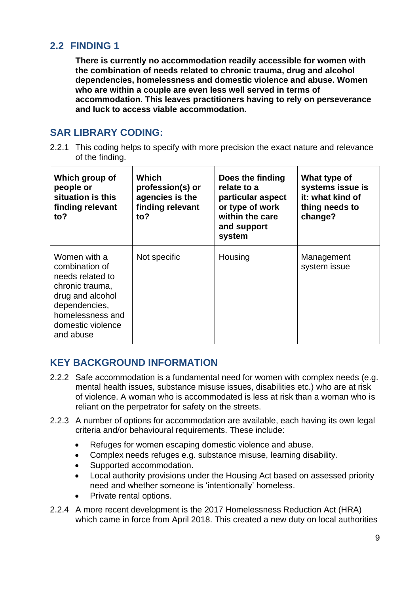## <span id="page-11-0"></span>**2.2 FINDING 1**

**There is currently no accommodation readily accessible for women with the combination of needs related to chronic trauma, drug and alcohol dependencies, homelessness and domestic violence and abuse. Women who are within a couple are even less well served in terms of accommodation. This leaves practitioners having to rely on perseverance and luck to access viable accommodation.**

## **SAR LIBRARY CODING:**

2.2.1 This coding helps to specify with more precision the exact nature and relevance of the finding.

| Which group of<br>people or<br>situation is this<br>finding relevant<br>to?                                                                                      | Which<br>profession(s) or<br>agencies is the<br>finding relevant<br>to? | Does the finding<br>relate to a<br>particular aspect<br>or type of work<br>within the care<br>and support<br>system | What type of<br>systems issue is<br>it: what kind of<br>thing needs to<br>change? |
|------------------------------------------------------------------------------------------------------------------------------------------------------------------|-------------------------------------------------------------------------|---------------------------------------------------------------------------------------------------------------------|-----------------------------------------------------------------------------------|
| Women with a<br>combination of<br>needs related to<br>chronic trauma,<br>drug and alcohol<br>dependencies,<br>homelessness and<br>domestic violence<br>and abuse | Not specific                                                            | Housing                                                                                                             | Management<br>system issue                                                        |

#### **KEY BACKGROUND INFORMATION**

- 2.2.2 Safe accommodation is a fundamental need for women with complex needs (e.g. mental health issues, substance misuse issues, disabilities etc.) who are at risk of violence. A woman who is accommodated is less at risk than a woman who is reliant on the perpetrator for safety on the streets.
- 2.2.3 A number of options for accommodation are available, each having its own legal criteria and/or behavioural requirements. These include:
	- Refuges for women escaping domestic violence and abuse.
	- Complex needs refuges e.g. substance misuse, learning disability.
	- Supported accommodation.
	- Local authority provisions under the Housing Act based on assessed priority need and whether someone is 'intentionally' homeless.
	- Private rental options.
- 2.2.4 A more recent development is the 2017 Homelessness Reduction Act (HRA) which came in force from April 2018. This created a new duty on local authorities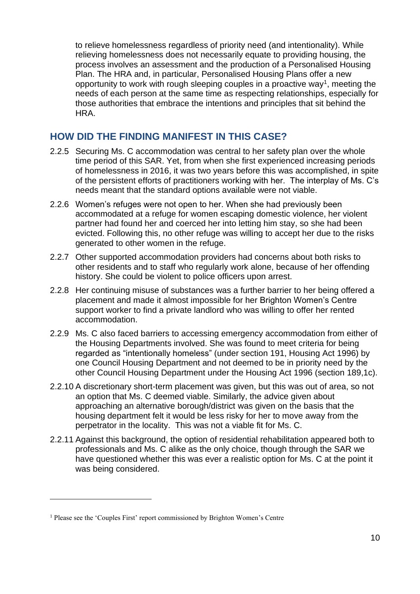to relieve homelessness regardless of priority need (and intentionality). While relieving homelessness does not necessarily equate to providing housing, the process involves an assessment and the production of a Personalised Housing Plan. The HRA and, in particular, Personalised Housing Plans offer a new opportunity to work with rough sleeping couples in a proactive way<sup>1</sup>, meeting the needs of each person at the same time as respecting relationships, especially for those authorities that embrace the intentions and principles that sit behind the HRA.

#### **HOW DID THE FINDING MANIFEST IN THIS CASE?**

- 2.2.5 Securing Ms. C accommodation was central to her safety plan over the whole time period of this SAR. Yet, from when she first experienced increasing periods of homelessness in 2016, it was two years before this was accomplished, in spite of the persistent efforts of practitioners working with her. The interplay of Ms. C's needs meant that the standard options available were not viable.
- 2.2.6 Women's refuges were not open to her. When she had previously been accommodated at a refuge for women escaping domestic violence, her violent partner had found her and coerced her into letting him stay, so she had been evicted. Following this, no other refuge was willing to accept her due to the risks generated to other women in the refuge.
- 2.2.7 Other supported accommodation providers had concerns about both risks to other residents and to staff who regularly work alone, because of her offending history. She could be violent to police officers upon arrest.
- 2.2.8 Her continuing misuse of substances was a further barrier to her being offered a placement and made it almost impossible for her Brighton Women's Centre support worker to find a private landlord who was willing to offer her rented accommodation.
- 2.2.9 Ms. C also faced barriers to accessing emergency accommodation from either of the Housing Departments involved. She was found to meet criteria for being regarded as "intentionally homeless" (under section 191, Housing Act 1996) by one Council Housing Department and not deemed to be in priority need by the other Council Housing Department under the Housing Act 1996 (section 189,1c).
- 2.2.10 A discretionary short-term placement was given, but this was out of area, so not an option that Ms. C deemed viable. Similarly, the advice given about approaching an alternative borough/district was given on the basis that the housing department felt it would be less risky for her to move away from the perpetrator in the locality. This was not a viable fit for Ms. C.
- 2.2.11 Against this background, the option of residential rehabilitation appeared both to professionals and Ms. C alike as the only choice, though through the SAR we have questioned whether this was ever a realistic option for Ms. C at the point it was being considered.

<sup>&</sup>lt;sup>1</sup> Please see the 'Couples First' report commissioned by Brighton Women's Centre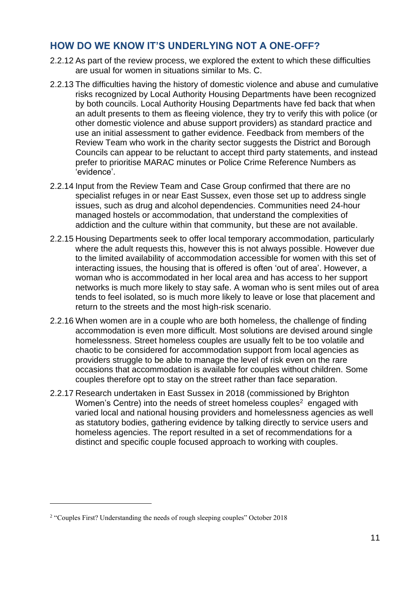## **HOW DO WE KNOW IT'S UNDERLYING NOT A ONE-OFF?**

- 2.2.12 As part of the review process, we explored the extent to which these difficulties are usual for women in situations similar to Ms. C.
- 2.2.13 The difficulties having the history of domestic violence and abuse and cumulative risks recognized by Local Authority Housing Departments have been recognized by both councils. Local Authority Housing Departments have fed back that when an adult presents to them as fleeing violence, they try to verify this with police (or other domestic violence and abuse support providers) as standard practice and use an initial assessment to gather evidence. Feedback from members of the Review Team who work in the charity sector suggests the District and Borough Councils can appear to be reluctant to accept third party statements, and instead prefer to prioritise MARAC minutes or Police Crime Reference Numbers as 'evidence'.
- 2.2.14 Input from the Review Team and Case Group confirmed that there are no specialist refuges in or near East Sussex, even those set up to address single issues, such as drug and alcohol dependencies. Communities need 24-hour managed hostels or accommodation, that understand the complexities of addiction and the culture within that community, but these are not available.
- 2.2.15 Housing Departments seek to offer local temporary accommodation, particularly where the adult requests this, however this is not always possible. However due to the limited availability of accommodation accessible for women with this set of interacting issues, the housing that is offered is often 'out of area'. However, a woman who is accommodated in her local area and has access to her support networks is much more likely to stay safe. A woman who is sent miles out of area tends to feel isolated, so is much more likely to leave or lose that placement and return to the streets and the most high-risk scenario.
- 2.2.16 When women are in a couple who are both homeless, the challenge of finding accommodation is even more difficult. Most solutions are devised around single homelessness. Street homeless couples are usually felt to be too volatile and chaotic to be considered for accommodation support from local agencies as providers struggle to be able to manage the level of risk even on the rare occasions that accommodation is available for couples without children. Some couples therefore opt to stay on the street rather than face separation.
- 2.2.17 Research undertaken in East Sussex in 2018 (commissioned by Brighton Women's Centre) into the needs of street homeless couples<sup>2</sup> engaged with varied local and national housing providers and homelessness agencies as well as statutory bodies, gathering evidence by talking directly to service users and homeless agencies. The report resulted in a set of recommendations for a distinct and specific couple focused approach to working with couples.

<sup>&</sup>lt;sup>2</sup> "Couples First? Understanding the needs of rough sleeping couples" October 2018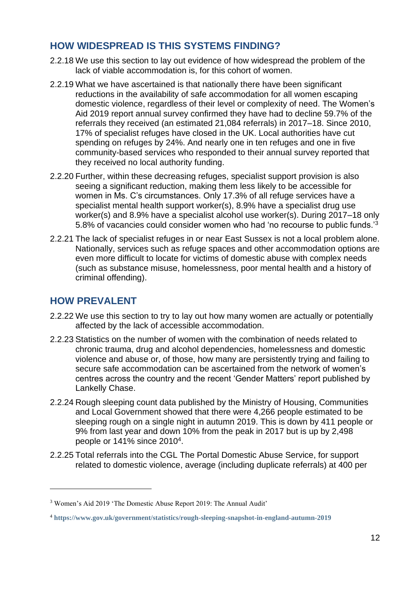## **HOW WIDESPREAD IS THIS SYSTEMS FINDING?**

- 2.2.18 We use this section to lay out evidence of how widespread the problem of the lack of viable accommodation is, for this cohort of women.
- 2.2.19 What we have ascertained is that nationally there have been significant reductions in the availability of safe accommodation for all women escaping domestic violence, regardless of their level or complexity of need. The Women's Aid 2019 report annual survey confirmed they have had to decline 59.7% of the referrals they received (an estimated 21,084 referrals) in 2017–18. Since 2010, 17% of specialist refuges have closed in the UK. Local authorities have cut spending on refuges by 24%. And nearly one in ten refuges and one in five community-based services who responded to their annual survey reported that they received no local authority funding.
- 2.2.20 Further, within these decreasing refuges, specialist support provision is also seeing a significant reduction, making them less likely to be accessible for women in Ms. C's circumstances. Only 17.3% of all refuge services have a specialist mental health support worker(s), 8.9% have a specialist drug use worker(s) and 8.9% have a specialist alcohol use worker(s). During 2017–18 only 5.8% of vacancies could consider women who had 'no recourse to public funds.'<sup>3</sup>
- 2.2.21 The lack of specialist refuges in or near East Sussex is not a local problem alone. Nationally, services such as refuge spaces and other accommodation options are even more difficult to locate for victims of domestic abuse with complex needs (such as substance misuse, homelessness, poor mental health and a history of criminal offending).

#### **HOW PREVALENT**

- 2.2.22 We use this section to try to lay out how many women are actually or potentially affected by the lack of accessible accommodation.
- 2.2.23 Statistics on the number of women with the combination of needs related to chronic trauma, drug and alcohol dependencies, homelessness and domestic violence and abuse or, of those, how many are persistently trying and failing to secure safe accommodation can be ascertained from the network of women's centres across the country and the recent 'Gender Matters' report published by Lankelly Chase.
- 2.2.24 Rough sleeping count data published by the Ministry of Housing, Communities and Local Government showed that there were 4,266 people estimated to be sleeping rough on a single night in autumn 2019. This is down by 411 people or 9% from last year and down 10% from the peak in 2017 but is up by 2,498 people or 141% since 2010<sup>4</sup>.
- 2.2.25 Total referrals into the CGL The Portal Domestic Abuse Service, for support related to domestic violence, average (including duplicate referrals) at 400 per

<sup>3</sup> Women's Aid 2019 'The Domestic Abuse Report 2019: The Annual Audit'

<sup>4</sup> **<https://www.gov.uk/government/statistics/rough-sleeping-snapshot-in-england-autumn-2019>**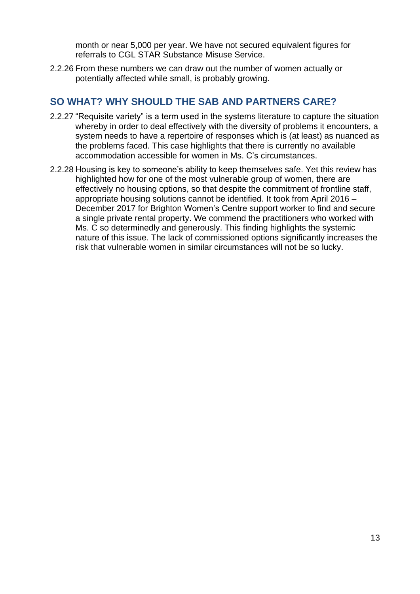month or near 5,000 per year. We have not secured equivalent figures for referrals to CGL STAR Substance Misuse Service.

2.2.26 From these numbers we can draw out the number of women actually or potentially affected while small, is probably growing.

## **SO WHAT? WHY SHOULD THE SAB AND PARTNERS CARE?**

- 2.2.27 "Requisite variety" is a term used in the systems literature to capture the situation whereby in order to deal effectively with the diversity of problems it encounters, a system needs to have a repertoire of responses which is (at least) as nuanced as the problems faced. This case highlights that there is currently no available accommodation accessible for women in Ms. C's circumstances.
- 2.2.28 Housing is key to someone's ability to keep themselves safe. Yet this review has highlighted how for one of the most vulnerable group of women, there are effectively no housing options, so that despite the commitment of frontline staff, appropriate housing solutions cannot be identified. It took from April 2016 – December 2017 for Brighton Women's Centre support worker to find and secure a single private rental property. We commend the practitioners who worked with Ms. C so determinedly and generously. This finding highlights the systemic nature of this issue. The lack of commissioned options significantly increases the risk that vulnerable women in similar circumstances will not be so lucky.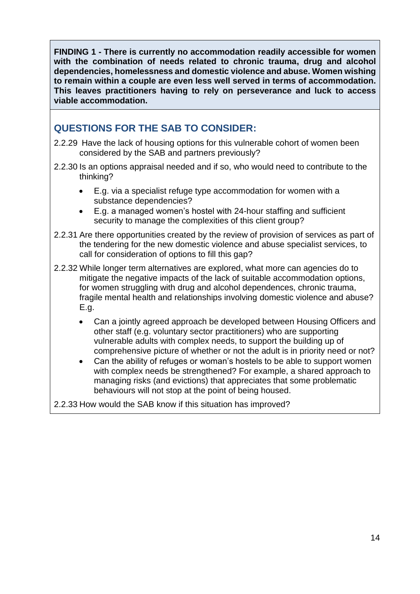**FINDING 1 - There is currently no accommodation readily accessible for women with the combination of needs related to chronic trauma, drug and alcohol dependencies, homelessness and domestic violence and abuse. Women wishing to remain within a couple are even less well served in terms of accommodation. This leaves practitioners having to rely on perseverance and luck to access viable accommodation.**

## **QUESTIONS FOR THE SAB TO CONSIDER:**

- 2.2.29 Have the lack of housing options for this vulnerable cohort of women been considered by the SAB and partners previously?
- 2.2.30 Is an options appraisal needed and if so, who would need to contribute to the thinking?
	- E.g. via a specialist refuge type accommodation for women with a substance dependencies?
	- E.g. a managed women's hostel with 24-hour staffing and sufficient security to manage the complexities of this client group?
- 2.2.31 Are there opportunities created by the review of provision of services as part of the tendering for the new domestic violence and abuse specialist services, to call for consideration of options to fill this gap?
- 2.2.32 While longer term alternatives are explored, what more can agencies do to mitigate the negative impacts of the lack of suitable accommodation options, for women struggling with drug and alcohol dependences, chronic trauma, fragile mental health and relationships involving domestic violence and abuse? E.g.
	- Can a jointly agreed approach be developed between Housing Officers and other staff (e.g. voluntary sector practitioners) who are supporting vulnerable adults with complex needs, to support the building up of comprehensive picture of whether or not the adult is in priority need or not?
	- Can the ability of refuges or woman's hostels to be able to support women with complex needs be strengthened? For example, a shared approach to managing risks (and evictions) that appreciates that some problematic behaviours will not stop at the point of being housed.

<span id="page-16-0"></span>2.2.33 How would the SAB know if this situation has improved?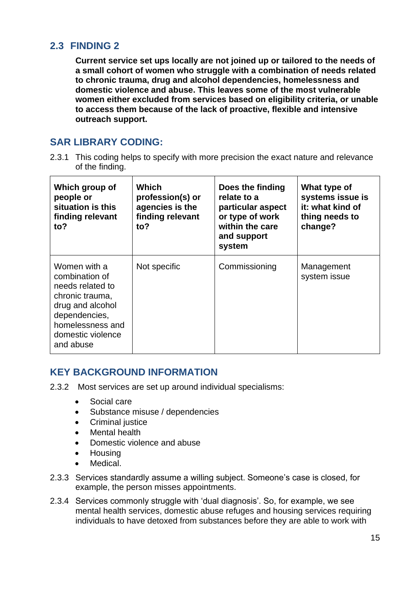#### **2.3 FINDING 2**

**Current service set ups locally are not joined up or tailored to the needs of a small cohort of women who struggle with a combination of needs related to chronic trauma, drug and alcohol dependencies, homelessness and domestic violence and abuse. This leaves some of the most vulnerable women either excluded from services based on eligibility criteria, or unable to access them because of the lack of proactive, flexible and intensive outreach support.** 

#### **SAR LIBRARY CODING:**

2.3.1 This coding helps to specify with more precision the exact nature and relevance of the finding.

| Which group of<br>people or<br>situation is this<br>finding relevant<br>to?                                                                                      | Which<br>profession(s) or<br>agencies is the<br>finding relevant<br>to? | Does the finding<br>relate to a<br>particular aspect<br>or type of work<br>within the care<br>and support<br>system | What type of<br>systems issue is<br>it: what kind of<br>thing needs to<br>change? |
|------------------------------------------------------------------------------------------------------------------------------------------------------------------|-------------------------------------------------------------------------|---------------------------------------------------------------------------------------------------------------------|-----------------------------------------------------------------------------------|
| Women with a<br>combination of<br>needs related to<br>chronic trauma,<br>drug and alcohol<br>dependencies,<br>homelessness and<br>domestic violence<br>and abuse | Not specific                                                            | Commissioning                                                                                                       | Management<br>system issue                                                        |

#### **KEY BACKGROUND INFORMATION**

- 2.3.2 Most services are set up around individual specialisms:
	- Social care
	- Substance misuse / dependencies
	- Criminal justice
	- Mental health
	- Domestic violence and abuse
	- Housing
	- Medical.
- 2.3.3 Services standardly assume a willing subject. Someone's case is closed, for example, the person misses appointments.
- 2.3.4 Services commonly struggle with 'dual diagnosis'. So, for example, we see mental health services, domestic abuse refuges and housing services requiring individuals to have detoxed from substances before they are able to work with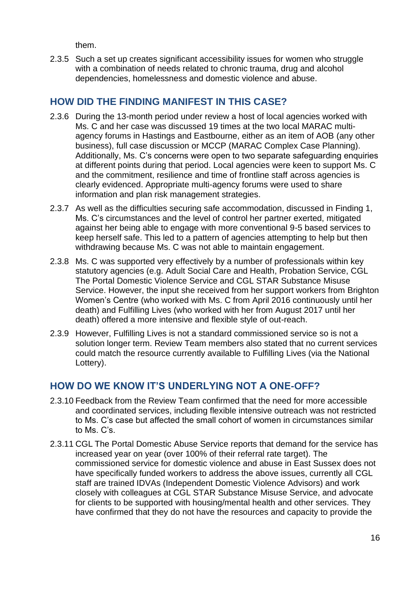them.

2.3.5 Such a set up creates significant accessibility issues for women who struggle with a combination of needs related to chronic trauma, drug and alcohol dependencies, homelessness and domestic violence and abuse.

## **HOW DID THE FINDING MANIFEST IN THIS CASE?**

- 2.3.6 During the 13-month period under review a host of local agencies worked with Ms. C and her case was discussed 19 times at the two local MARAC multiagency forums in Hastings and Eastbourne, either as an item of AOB (any other business), full case discussion or MCCP (MARAC Complex Case Planning). Additionally, Ms. C's concerns were open to two separate safeguarding enquiries at different points during that period. Local agencies were keen to support Ms. C and the commitment, resilience and time of frontline staff across agencies is clearly evidenced. Appropriate multi-agency forums were used to share information and plan risk management strategies.
- 2.3.7 As well as the difficulties securing safe accommodation, discussed in Finding 1, Ms. C's circumstances and the level of control her partner exerted, mitigated against her being able to engage with more conventional 9-5 based services to keep herself safe. This led to a pattern of agencies attempting to help but then withdrawing because Ms. C was not able to maintain engagement.
- 2.3.8 Ms. C was supported very effectively by a number of professionals within key statutory agencies (e.g. Adult Social Care and Health, Probation Service, CGL The Portal Domestic Violence Service and CGL STAR Substance Misuse Service. However, the input she received from her support workers from Brighton Women's Centre (who worked with Ms. C from April 2016 continuously until her death) and Fulfilling Lives (who worked with her from August 2017 until her death) offered a more intensive and flexible style of out-reach.
- 2.3.9 However, Fulfilling Lives is not a standard commissioned service so is not a solution longer term. Review Team members also stated that no current services could match the resource currently available to Fulfilling Lives (via the National Lottery).

## **HOW DO WE KNOW IT'S UNDERLYING NOT A ONE-OFF?**

- 2.3.10 Feedback from the Review Team confirmed that the need for more accessible and coordinated services, including flexible intensive outreach was not restricted to Ms. C's case but affected the small cohort of women in circumstances similar to Ms. C's.
- 2.3.11 CGL The Portal Domestic Abuse Service reports that demand for the service has increased year on year (over 100% of their referral rate target). The commissioned service for domestic violence and abuse in East Sussex does not have specifically funded workers to address the above issues, currently all CGL staff are trained IDVAs (Independent Domestic Violence Advisors) and work closely with colleagues at CGL STAR Substance Misuse Service, and advocate for clients to be supported with housing/mental health and other services. They have confirmed that they do not have the resources and capacity to provide the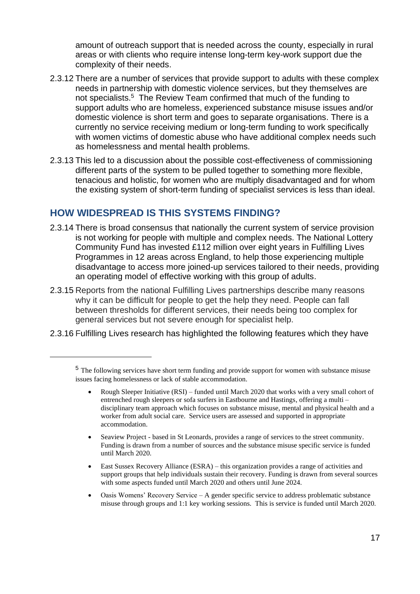amount of outreach support that is needed across the county, especially in rural areas or with clients who require intense long-term key-work support due the complexity of their needs.

- 2.3.12 There are a number of services that provide support to adults with these complex needs in partnership with domestic violence services, but they themselves are not specialists.<sup>5</sup> The Review Team confirmed that much of the funding to support adults who are homeless, experienced substance misuse issues and/or domestic violence is short term and goes to separate organisations. There is a currently no service receiving medium or long-term funding to work specifically with women victims of domestic abuse who have additional complex needs such as homelessness and mental health problems.
- 2.3.13 This led to a discussion about the possible cost-effectiveness of commissioning different parts of the system to be pulled together to something more flexible, tenacious and holistic, for women who are multiply disadvantaged and for whom the existing system of short-term funding of specialist services is less than ideal.

## **HOW WIDESPREAD IS THIS SYSTEMS FINDING?**

- 2.3.14 There is broad consensus that nationally the current system of service provision is not working for people with multiple and complex needs. The National Lottery Community Fund has invested £112 million over eight years in Fulfilling Lives Programmes in 12 areas across England, to help those experiencing multiple disadvantage to access more joined-up services tailored to their needs, providing an operating model of effective working with this group of adults.
- 2.3.15 Reports from the national Fulfilling Lives partnerships describe many reasons why it can be difficult for people to get the help they need. People can fall between thresholds for different services, their needs being too complex for general services but not severe enough for specialist help.
- 2.3.16 Fulfilling Lives research has highlighted the following features which they have

- Rough Sleeper Initiative (RSI) funded until March 2020 that works with a very small cohort of entrenched rough sleepers or sofa surfers in Eastbourne and Hastings, offering a multi – disciplinary team approach which focuses on substance misuse, mental and physical health and a worker from adult social care. Service users are assessed and supported in appropriate accommodation.
- Seaview Project based in St Leonards, provides a range of services to the street community. Funding is drawn from a number of sources and the substance misuse specific service is funded until March 2020.
- East Sussex Recovery Alliance (ESRA) this organization provides a range of activities and support groups that help individuals sustain their recovery. Funding is drawn from several sources with some aspects funded until March 2020 and others until June 2024.
- Oasis Womens' Recovery Service A gender specific service to address problematic substance misuse through groups and 1:1 key working sessions. This is service is funded until March 2020.

<sup>5</sup> The following services have short term funding and provide support for women with substance misuse issues facing homelessness or lack of stable accommodation.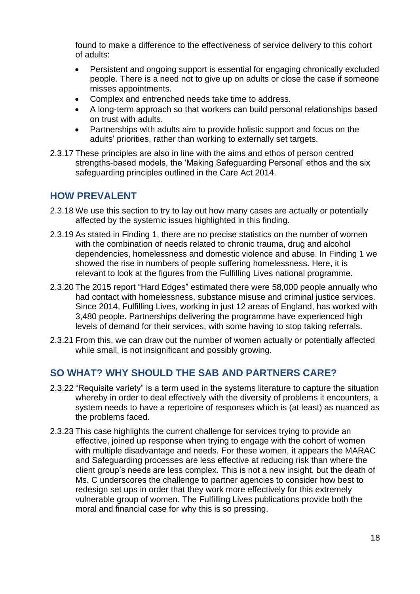found to make a difference to the effectiveness of service delivery to this cohort of adults:

- Persistent and ongoing support is essential for engaging chronically excluded people. There is a need not to give up on adults or close the case if someone misses appointments.
- Complex and entrenched needs take time to address.
- A long-term approach so that workers can build personal relationships based on trust with adults.
- Partnerships with adults aim to provide holistic support and focus on the adults' priorities, rather than working to externally set targets.
- 2.3.17 These principles are also in line with the aims and ethos of person centred strengths-based models, the 'Making Safeguarding Personal' ethos and the six safeguarding principles outlined in the Care Act 2014.

#### **HOW PREVALENT**

- 2.3.18 We use this section to try to lay out how many cases are actually or potentially affected by the systemic issues highlighted in this finding.
- 2.3.19 As stated in Finding 1, there are no precise statistics on the number of women with the combination of needs related to chronic trauma, drug and alcohol dependencies, homelessness and domestic violence and abuse. In Finding 1 we showed the rise in numbers of people suffering homelessness. Here, it is relevant to look at the figures from the Fulfilling Lives national programme.
- 2.3.20 The 2015 report "Hard Edges" estimated there were 58,000 people annually who had contact with homelessness, substance misuse and criminal justice services. Since 2014, Fulfilling Lives, working in just 12 areas of England, has worked with 3,480 people. Partnerships delivering the programme have experienced high levels of demand for their services, with some having to stop taking referrals.
- 2.3.21 From this, we can draw out the number of women actually or potentially affected while small, is not insignificant and possibly growing.

#### **SO WHAT? WHY SHOULD THE SAB AND PARTNERS CARE?**

- 2.3.22 "Requisite variety" is a term used in the systems literature to capture the situation whereby in order to deal effectively with the diversity of problems it encounters, a system needs to have a repertoire of responses which is (at least) as nuanced as the problems faced.
- 2.3.23 This case highlights the current challenge for services trying to provide an effective, joined up response when trying to engage with the cohort of women with multiple disadvantage and needs. For these women, it appears the MARAC and Safeguarding processes are less effective at reducing risk than where the client group's needs are less complex. This is not a new insight, but the death of Ms. C underscores the challenge to partner agencies to consider how best to redesign set ups in order that they work more effectively for this extremely vulnerable group of women. The Fulfilling Lives publications provide both the moral and financial case for why this is so pressing.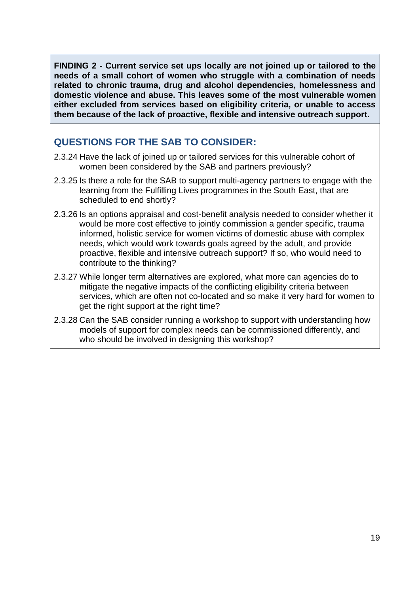**FINDING 2 - Current service set ups locally are not joined up or tailored to the needs of a small cohort of women who struggle with a combination of needs related to chronic trauma, drug and alcohol dependencies, homelessness and domestic violence and abuse. This leaves some of the most vulnerable women either excluded from services based on eligibility criteria, or unable to access them because of the lack of proactive, flexible and intensive outreach support.** 

## **QUESTIONS FOR THE SAB TO CONSIDER:**

- 2.3.24 Have the lack of joined up or tailored services for this vulnerable cohort of women been considered by the SAB and partners previously?
- 2.3.25 Is there a role for the SAB to support multi-agency partners to engage with the learning from the Fulfilling Lives programmes in the South East, that are scheduled to end shortly?
- 2.3.26 Is an options appraisal and cost-benefit analysis needed to consider whether it would be more cost effective to jointly commission a gender specific, trauma informed, holistic service for women victims of domestic abuse with complex needs, which would work towards goals agreed by the adult, and provide proactive, flexible and intensive outreach support? If so, who would need to contribute to the thinking?
- 2.3.27 While longer term alternatives are explored, what more can agencies do to mitigate the negative impacts of the conflicting eligibility criteria between services, which are often not co-located and so make it very hard for women to get the right support at the right time?
- <span id="page-21-0"></span>2.3.28 Can the SAB consider running a workshop to support with understanding how models of support for complex needs can be commissioned differently, and who should be involved in designing this workshop?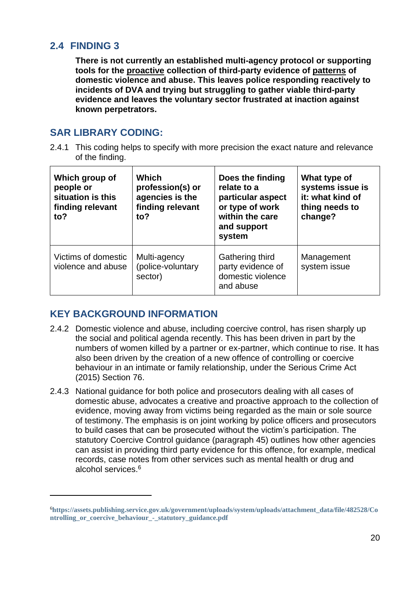#### **2.4 FINDING 3**

**There is not currently an established multi-agency protocol or supporting tools for the proactive collection of third-party evidence of patterns of domestic violence and abuse. This leaves police responding reactively to incidents of DVA and trying but struggling to gather viable third-party evidence and leaves the voluntary sector frustrated at inaction against known perpetrators.** 

## **SAR LIBRARY CODING:**

2.4.1 This coding helps to specify with more precision the exact nature and relevance of the finding.

| Which group of<br>people or<br>situation is this<br>finding relevant<br>to? | Which<br>profession(s) or<br>agencies is the<br>finding relevant<br>to? | Does the finding<br>relate to a<br>particular aspect<br>or type of work<br>within the care<br>and support<br>system | What type of<br>systems issue is<br>it: what kind of<br>thing needs to<br>change? |
|-----------------------------------------------------------------------------|-------------------------------------------------------------------------|---------------------------------------------------------------------------------------------------------------------|-----------------------------------------------------------------------------------|
| Victims of domestic<br>violence and abuse                                   | Multi-agency<br>(police-voluntary<br>sector)                            | Gathering third<br>party evidence of<br>domestic violence<br>and abuse                                              | Management<br>system issue                                                        |

#### **KEY BACKGROUND INFORMATION**

- 2.4.2 Domestic violence and abuse, including coercive control, has risen sharply up the social and political agenda recently. This has been driven in part by the numbers of women killed by a partner or ex-partner, which continue to rise. It has also been driven by the creation of a new offence of controlling or coercive behaviour in an intimate or family relationship, under the Serious Crime Act (2015) Section 76.
- 2.4.3 National guidance for both police and prosecutors dealing with all cases of domestic abuse, advocates a creative and proactive approach to the collection of evidence, moving away from victims being regarded as the main or sole source of testimony. The emphasis is on joint working by police officers and prosecutors to build cases that can be prosecuted without the victim's participation. The statutory Coercive Control guidance (paragraph 45) outlines how other agencies can assist in providing third party evidence for this offence, for example, medical records, case notes from other services such as mental health or drug and alcohol services.<sup>6</sup>

<sup>6</sup>**[https://assets.publishing.service.gov.uk/government/uploads/system/uploads/attachment\\_data/file/482528/Co](https://assets.publishing.service.gov.uk/government/uploads/system/uploads/attachment_data/file/482528/Controlling_or_coercive_behaviour_-_statutory_guidance.pdf) [ntrolling\\_or\\_coercive\\_behaviour\\_-\\_statutory\\_guidance.pdf](https://assets.publishing.service.gov.uk/government/uploads/system/uploads/attachment_data/file/482528/Controlling_or_coercive_behaviour_-_statutory_guidance.pdf)**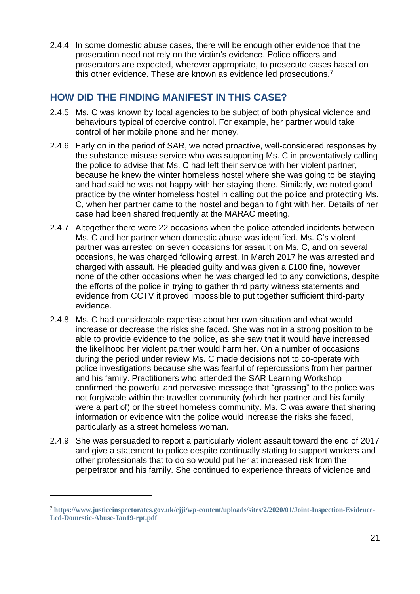2.4.4 In some domestic abuse cases, there will be enough other evidence that the prosecution need not rely on the victim's evidence. Police officers and prosecutors are expected, wherever appropriate, to prosecute cases based on this other evidence. These are known as evidence led prosecutions.<sup>7</sup>

#### **HOW DID THE FINDING MANIFEST IN THIS CASE?**

- 2.4.5 Ms. C was known by local agencies to be subject of both physical violence and behaviours typical of coercive control. For example, her partner would take control of her mobile phone and her money.
- 2.4.6 Early on in the period of SAR, we noted proactive, well-considered responses by the substance misuse service who was supporting Ms. C in preventatively calling the police to advise that Ms. C had left their service with her violent partner, because he knew the winter homeless hostel where she was going to be staying and had said he was not happy with her staying there. Similarly, we noted good practice by the winter homeless hostel in calling out the police and protecting Ms. C, when her partner came to the hostel and began to fight with her. Details of her case had been shared frequently at the MARAC meeting.
- 2.4.7 Altogether there were 22 occasions when the police attended incidents between Ms. C and her partner when domestic abuse was identified. Ms. C's violent partner was arrested on seven occasions for assault on Ms. C, and on several occasions, he was charged following arrest. In March 2017 he was arrested and charged with assault. He pleaded guilty and was given a £100 fine, however none of the other occasions when he was charged led to any convictions, despite the efforts of the police in trying to gather third party witness statements and evidence from CCTV it proved impossible to put together sufficient third-party evidence.
- 2.4.8 Ms. C had considerable expertise about her own situation and what would increase or decrease the risks she faced. She was not in a strong position to be able to provide evidence to the police, as she saw that it would have increased the likelihood her violent partner would harm her. On a number of occasions during the period under review Ms. C made decisions not to co-operate with police investigations because she was fearful of repercussions from her partner and his family. Practitioners who attended the SAR Learning Workshop confirmed the powerful and pervasive message that "grassing" to the police was not forgivable within the traveller community (which her partner and his family were a part of) or the street homeless community. Ms. C was aware that sharing information or evidence with the police would increase the risks she faced, particularly as a street homeless woman.
- 2.4.9 She was persuaded to report a particularly violent assault toward the end of 2017 and give a statement to police despite continually stating to support workers and other professionals that to do so would put her at increased risk from the perpetrator and his family. She continued to experience threats of violence and

<sup>7</sup> **[https://www.justiceinspectorates.gov.uk/cjji/wp-content/uploads/sites/2/2020/01/Joint-Inspection-Evidence-](https://www.justiceinspectorates.gov.uk/cjji/wp-content/uploads/sites/2/2020/01/Joint-Inspection-Evidence-Led-Domestic-Abuse-Jan19-rpt.pdf)[Led-Domestic-Abuse-Jan19-rpt.pdf](https://www.justiceinspectorates.gov.uk/cjji/wp-content/uploads/sites/2/2020/01/Joint-Inspection-Evidence-Led-Domestic-Abuse-Jan19-rpt.pdf)**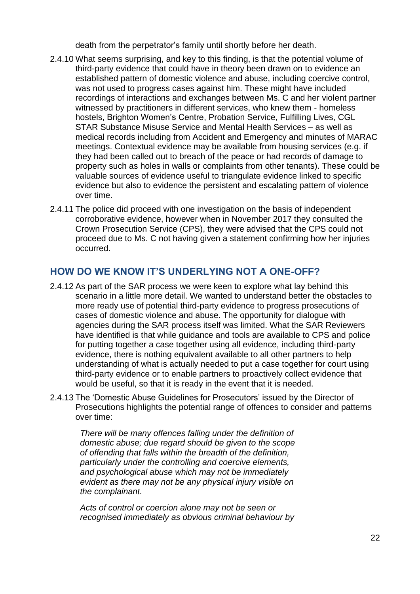death from the perpetrator's family until shortly before her death.

- 2.4.10 What seems surprising, and key to this finding, is that the potential volume of third-party evidence that could have in theory been drawn on to evidence an established pattern of domestic violence and abuse, including coercive control, was not used to progress cases against him. These might have included recordings of interactions and exchanges between Ms. C and her violent partner witnessed by practitioners in different services, who knew them - homeless hostels, Brighton Women's Centre, Probation Service, Fulfilling Lives, CGL STAR Substance Misuse Service and Mental Health Services – as well as medical records including from Accident and Emergency and minutes of MARAC meetings. Contextual evidence may be available from housing services (e.g. if they had been called out to breach of the peace or had records of damage to property such as holes in walls or complaints from other tenants). These could be valuable sources of evidence useful to triangulate evidence linked to specific evidence but also to evidence the persistent and escalating pattern of violence over time.
- 2.4.11 The police did proceed with one investigation on the basis of independent corroborative evidence, however when in November 2017 they consulted the Crown Prosecution Service (CPS), they were advised that the CPS could not proceed due to Ms. C not having given a statement confirming how her injuries occurred.

## **HOW DO WE KNOW IT'S UNDERLYING NOT A ONE-OFF?**

- 2.4.12 As part of the SAR process we were keen to explore what lay behind this scenario in a little more detail. We wanted to understand better the obstacles to more ready use of potential third-party evidence to progress prosecutions of cases of domestic violence and abuse. The opportunity for dialogue with agencies during the SAR process itself was limited. What the SAR Reviewers have identified is that while guidance and tools are available to CPS and police for putting together a case together using all evidence, including third-party evidence, there is nothing equivalent available to all other partners to help understanding of what is actually needed to put a case together for court using third-party evidence or to enable partners to proactively collect evidence that would be useful, so that it is ready in the event that it is needed.
- 2.4.13 The 'Domestic Abuse Guidelines for Prosecutors' issued by the Director of Prosecutions highlights the potential range of offences to consider and patterns over time:

*There will be many offences falling under the definition of domestic abuse; due regard should be given to the scope of offending that falls within the breadth of the definition, particularly under the controlling and coercive elements, and psychological abuse which may not be immediately evident as there may not be any physical injury visible on the complainant.*

*Acts of control or coercion alone may not be seen or recognised immediately as obvious criminal behaviour by*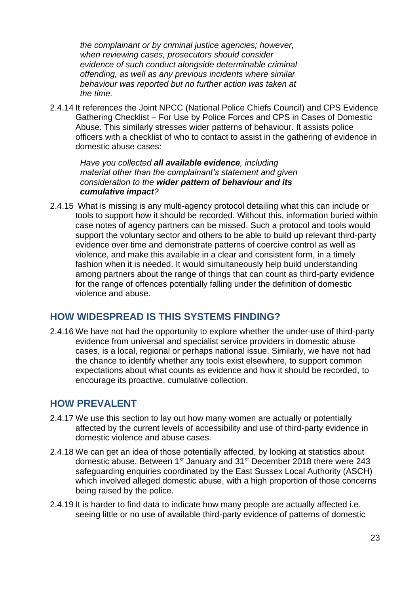*the complainant or by criminal justice agencies; however, when reviewing cases, prosecutors should consider evidence of such conduct alongside determinable criminal offending, as well as any previous incidents where similar behaviour was reported but no further action was taken at the time.*

2.4.14 It references the Joint NPCC (National Police Chiefs Council) and CPS Evidence Gathering Checklist – For Use by Police Forces and CPS in Cases of Domestic Abuse. This similarly stresses wider patterns of behaviour. It assists police officers with a checklist of who to contact to assist in the gathering of evidence in domestic abuse cases:

*Have you collected all available evidence, including material other than the complainant's statement and given consideration to the wider pattern of behaviour and its cumulative impact?*

2.4.15 What is missing is any multi-agency protocol detailing what this can include or tools to support how it should be recorded. Without this, information buried within case notes of agency partners can be missed. Such a protocol and tools would support the voluntary sector and others to be able to build up relevant third-party evidence over time and demonstrate patterns of coercive control as well as violence, and make this available in a clear and consistent form, in a timely fashion when it is needed. It would simultaneously help build understanding among partners about the range of things that can count as third-party evidence for the range of offences potentially falling under the definition of domestic violence and abuse.

#### **HOW WIDESPREAD IS THIS SYSTEMS FINDING?**

2.4.16 We have not had the opportunity to explore whether the under-use of third-party evidence from universal and specialist service providers in domestic abuse cases, is a local, regional or perhaps national issue. Similarly, we have not had the chance to identify whether any tools exist elsewhere, to support common expectations about what counts as evidence and how it should be recorded, to encourage its proactive, cumulative collection.

#### **HOW PREVALENT**

- 2.4.17 We use this section to lay out how many women are actually or potentially affected by the current levels of accessibility and use of third-party evidence in domestic violence and abuse cases.
- 2.4.18 We can get an idea of those potentially affected, by looking at statistics about domestic abuse. Between 1<sup>st</sup> January and 31<sup>st</sup> December 2018 there were 243 safeguarding enquiries coordinated by the East Sussex Local Authority (ASCH) which involved alleged domestic abuse, with a high proportion of those concerns being raised by the police.
- 2.4.19 It is harder to find data to indicate how many people are actually affected i.e. seeing little or no use of available third-party evidence of patterns of domestic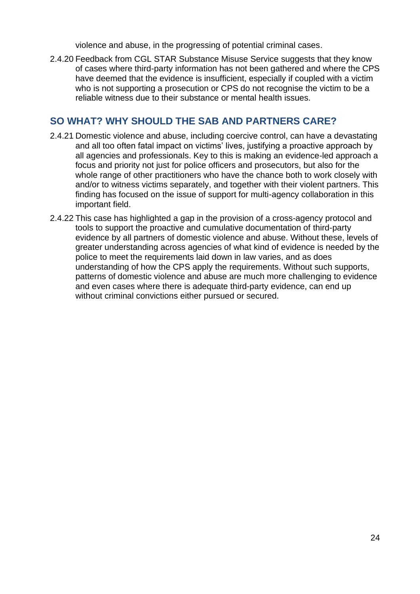violence and abuse, in the progressing of potential criminal cases.

2.4.20 Feedback from CGL STAR Substance Misuse Service suggests that they know of cases where third-party information has not been gathered and where the CPS have deemed that the evidence is insufficient, especially if coupled with a victim who is not supporting a prosecution or CPS do not recognise the victim to be a reliable witness due to their substance or mental health issues.

## SO WHAT? WHY SHOULD THE SAR AND PARTNERS CARE?

- 2.4.21 Domestic violence and abuse, including coercive control, can have a devastating and all too often fatal impact on victims' lives, justifying a proactive approach by all agencies and professionals. Key to this is making an evidence-led approach a focus and priority not just for police officers and prosecutors, but also for the whole range of other practitioners who have the chance both to work closely with and/or to witness victims separately, and together with their violent partners. This finding has focused on the issue of support for multi-agency collaboration in this important field.
- 2.4.22 This case has highlighted a gap in the provision of a cross-agency protocol and tools to support the proactive and cumulative documentation of third-party evidence by all partners of domestic violence and abuse. Without these, levels of greater understanding across agencies of what kind of evidence is needed by the police to meet the requirements laid down in law varies, and as does understanding of how the CPS apply the requirements. Without such supports, patterns of domestic violence and abuse are much more challenging to evidence and even cases where there is adequate third-party evidence, can end up without criminal convictions either pursued or secured.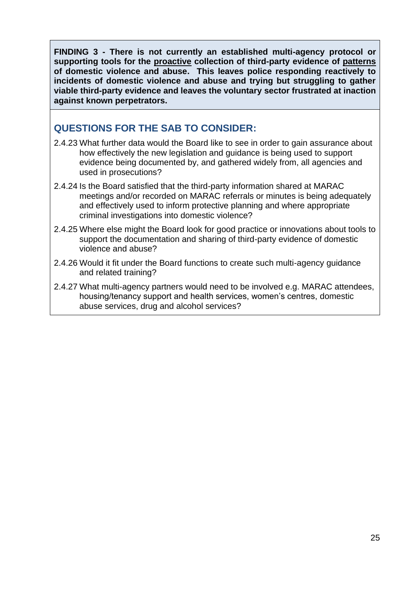**FINDING 3 - There is not currently an established multi-agency protocol or supporting tools for the proactive collection of third-party evidence of patterns of domestic violence and abuse. This leaves police responding reactively to incidents of domestic violence and abuse and trying but struggling to gather viable third-party evidence and leaves the voluntary sector frustrated at inaction against known perpetrators.**

## **QUESTIONS FOR THE SAB TO CONSIDER:**

- 2.4.23 What further data would the Board like to see in order to gain assurance about how effectively the new legislation and guidance is being used to support evidence being documented by, and gathered widely from, all agencies and used in prosecutions?
- 2.4.24 Is the Board satisfied that the third-party information shared at MARAC meetings and/or recorded on MARAC referrals or minutes is being adequately and effectively used to inform protective planning and where appropriate criminal investigations into domestic violence?
- 2.4.25 Where else might the Board look for good practice or innovations about tools to support the documentation and sharing of third-party evidence of domestic violence and abuse?
- 2.4.26 Would it fit under the Board functions to create such multi-agency guidance and related training?
- <span id="page-27-0"></span>2.4.27 What multi-agency partners would need to be involved e.g. MARAC attendees, housing/tenancy support and health services, women's centres, domestic abuse services, drug and alcohol services?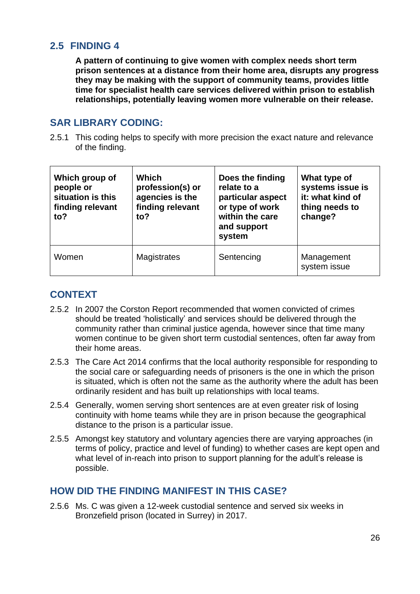#### **2.5 FINDING 4**

**A pattern of continuing to give women with complex needs short term prison sentences at a distance from their home area, disrupts any progress they may be making with the support of community teams, provides little time for specialist health care services delivered within prison to establish relationships, potentially leaving women more vulnerable on their release.**

#### **SAR LIBRARY CODING:**

2.5.1 This coding helps to specify with more precision the exact nature and relevance of the finding.

| Which group of<br>people or<br>situation is this<br>finding relevant<br>to? | Which<br>profession(s) or<br>agencies is the<br>finding relevant<br>to? | Does the finding<br>relate to a<br>particular aspect<br>or type of work<br>within the care<br>and support<br>system | What type of<br>systems issue is<br>it: what kind of<br>thing needs to<br>change? |
|-----------------------------------------------------------------------------|-------------------------------------------------------------------------|---------------------------------------------------------------------------------------------------------------------|-----------------------------------------------------------------------------------|
| Women                                                                       | <b>Magistrates</b>                                                      | Sentencing                                                                                                          | Management<br>system issue                                                        |

## **CONTEXT**

- 2.5.2 In 2007 the Corston Report recommended that women convicted of crimes should be treated 'holistically' and services should be delivered through the community rather than criminal justice agenda, however since that time many women continue to be given short term custodial sentences, often far away from their home areas.
- 2.5.3 The Care Act 2014 confirms that the local authority responsible for responding to the social care or safeguarding needs of prisoners is the one in which the prison is situated, which is often not the same as the authority where the adult has been ordinarily resident and has built up relationships with local teams.
- 2.5.4 Generally, women serving short sentences are at even greater risk of losing continuity with home teams while they are in prison because the geographical distance to the prison is a particular issue.
- 2.5.5 Amongst key statutory and voluntary agencies there are varying approaches (in terms of policy, practice and level of funding) to whether cases are kept open and what level of in-reach into prison to support planning for the adult's release is possible.

#### **HOW DID THE FINDING MANIFEST IN THIS CASE?**

2.5.6 Ms. C was given a 12-week custodial sentence and served six weeks in Bronzefield prison (located in Surrey) in 2017.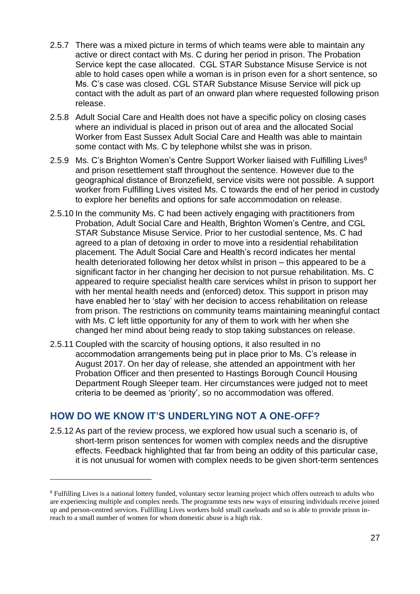- 2.5.7 There was a mixed picture in terms of which teams were able to maintain any active or direct contact with Ms. C during her period in prison. The Probation Service kept the case allocated. CGL STAR Substance Misuse Service is not able to hold cases open while a woman is in prison even for a short sentence, so Ms. C's case was closed. CGL STAR Substance Misuse Service will pick up contact with the adult as part of an onward plan where requested following prison release.
- 2.5.8 Adult Social Care and Health does not have a specific policy on closing cases where an individual is placed in prison out of area and the allocated Social Worker from East Sussex Adult Social Care and Health was able to maintain some contact with Ms. C by telephone whilst she was in prison.
- 2.5.9 Ms. C's Brighton Women's Centre Support Worker liaised with Fulfilling Lives<sup>8</sup> and prison resettlement staff throughout the sentence. However due to the geographical distance of Bronzefield, service visits were not possible. A support worker from Fulfilling Lives visited Ms. C towards the end of her period in custody to explore her benefits and options for safe accommodation on release.
- 2.5.10 In the community Ms. C had been actively engaging with practitioners from Probation, Adult Social Care and Health, Brighton Women's Centre, and CGL STAR Substance Misuse Service. Prior to her custodial sentence, Ms. C had agreed to a plan of detoxing in order to move into a residential rehabilitation placement. The Adult Social Care and Health's record indicates her mental health deteriorated following her detox whilst in prison – this appeared to be a significant factor in her changing her decision to not pursue rehabilitation. Ms. C appeared to require specialist health care services whilst in prison to support her with her mental health needs and (enforced) detox. This support in prison may have enabled her to 'stay' with her decision to access rehabilitation on release from prison. The restrictions on community teams maintaining meaningful contact with Ms. C left little opportunity for any of them to work with her when she changed her mind about being ready to stop taking substances on release.
- 2.5.11 Coupled with the scarcity of housing options, it also resulted in no accommodation arrangements being put in place prior to Ms. C's release in August 2017. On her day of release, she attended an appointment with her Probation Officer and then presented to Hastings Borough Council Housing Department Rough Sleeper team. Her circumstances were judged not to meet criteria to be deemed as 'priority', so no accommodation was offered.

#### **HOW DO WE KNOW IT'S UNDERLYING NOT A ONE-OFF?**

2.5.12 As part of the review process, we explored how usual such a scenario is, of short-term prison sentences for women with complex needs and the disruptive effects. Feedback highlighted that far from being an oddity of this particular case, it is not unusual for women with complex needs to be given short-term sentences

<sup>&</sup>lt;sup>8</sup> Fulfilling Lives is a national lottery funded, voluntary sector learning project which offers outreach to adults who are experiencing multiple and complex needs. The programme tests new ways of ensuring individuals receive joined up and person-centred services. Fulfilling Lives workers hold small caseloads and so is able to provide prison inreach to a small number of women for whom domestic abuse is a high risk.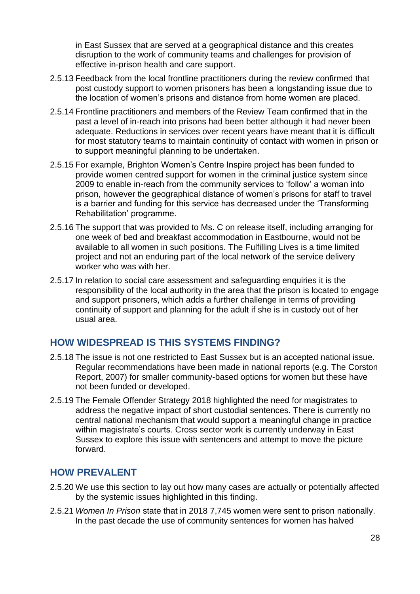in East Sussex that are served at a geographical distance and this creates disruption to the work of community teams and challenges for provision of effective in-prison health and care support.

- 2.5.13 Feedback from the local frontline practitioners during the review confirmed that post custody support to women prisoners has been a longstanding issue due to the location of women's prisons and distance from home women are placed.
- 2.5.14 Frontline practitioners and members of the Review Team confirmed that in the past a level of in-reach into prisons had been better although it had never been adequate. Reductions in services over recent years have meant that it is difficult for most statutory teams to maintain continuity of contact with women in prison or to support meaningful planning to be undertaken.
- 2.5.15 For example, Brighton Women's Centre Inspire project has been funded to provide women centred support for women in the criminal justice system since 2009 to enable in-reach from the community services to 'follow' a woman into prison, however the geographical distance of women's prisons for staff to travel is a barrier and funding for this service has decreased under the 'Transforming Rehabilitation' programme.
- 2.5.16 The support that was provided to Ms. C on release itself, including arranging for one week of bed and breakfast accommodation in Eastbourne, would not be available to all women in such positions. The Fulfilling Lives is a time limited project and not an enduring part of the local network of the service delivery worker who was with her.
- 2.5.17 In relation to social care assessment and safeguarding enquiries it is the responsibility of the local authority in the area that the prison is located to engage and support prisoners, which adds a further challenge in terms of providing continuity of support and planning for the adult if she is in custody out of her usual area.

#### **HOW WIDESPREAD IS THIS SYSTEMS FINDING?**

- 2.5.18 The issue is not one restricted to East Sussex but is an accepted national issue. Regular recommendations have been made in national reports (e.g. The Corston Report, 2007) for smaller community-based options for women but these have not been funded or developed.
- 2.5.19 The Female Offender Strategy 2018 highlighted the need for magistrates to address the negative impact of short custodial sentences. There is currently no central national mechanism that would support a meaningful change in practice within magistrate's courts. Cross sector work is currently underway in East Sussex to explore this issue with sentencers and attempt to move the picture forward.

#### **HOW PREVALENT**

- 2.5.20 We use this section to lay out how many cases are actually or potentially affected by the systemic issues highlighted in this finding.
- 2.5.21 *Women In Prison* state that in 2018 7,745 women were sent to prison nationally. In the past decade the use of community sentences for women has halved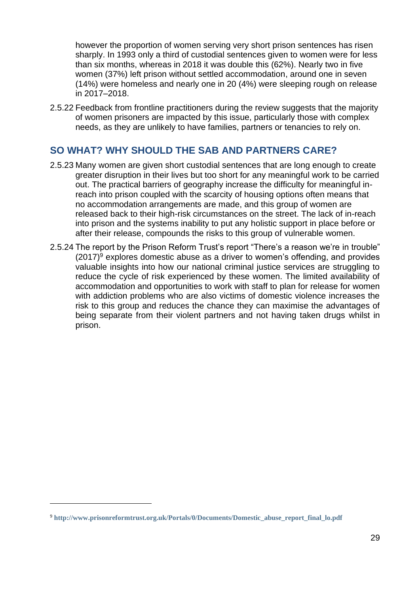however the proportion of women serving very short prison sentences has risen sharply. In 1993 only a third of custodial sentences given to women were for less than six months, whereas in 2018 it was double this (62%). Nearly two in five women (37%) left prison without settled accommodation, around one in seven (14%) were homeless and nearly one in 20 (4%) were sleeping rough on release in 2017–2018.

2.5.22 Feedback from frontline practitioners during the review suggests that the majority of women prisoners are impacted by this issue, particularly those with complex needs, as they are unlikely to have families, partners or tenancies to rely on.

#### **SO WHAT? WHY SHOULD THE SAB AND PARTNERS CARE?**

- 2.5.23 Many women are given short custodial sentences that are long enough to create greater disruption in their lives but too short for any meaningful work to be carried out. The practical barriers of geography increase the difficulty for meaningful inreach into prison coupled with the scarcity of housing options often means that no accommodation arrangements are made, and this group of women are released back to their high-risk circumstances on the street. The lack of in-reach into prison and the systems inability to put any holistic support in place before or after their release, compounds the risks to this group of vulnerable women.
- 2.5.24 The report by the Prison Reform Trust's report "There's a reason we're in trouble"  $(2017)^9$  explores domestic abuse as a driver to women's offending, and provides valuable insights into how our national criminal justice services are struggling to reduce the cycle of risk experienced by these women. The limited availability of accommodation and opportunities to work with staff to plan for release for women with addiction problems who are also victims of domestic violence increases the risk to this group and reduces the chance they can maximise the advantages of being separate from their violent partners and not having taken drugs whilst in prison.

<sup>9</sup> **[http://www.prisonreformtrust.org.uk/Portals/0/Documents/Domestic\\_abuse\\_report\\_final\\_lo.pdf](http://www.prisonreformtrust.org.uk/Portals/0/Documents/Domestic_abuse_report_final_lo.pdf)**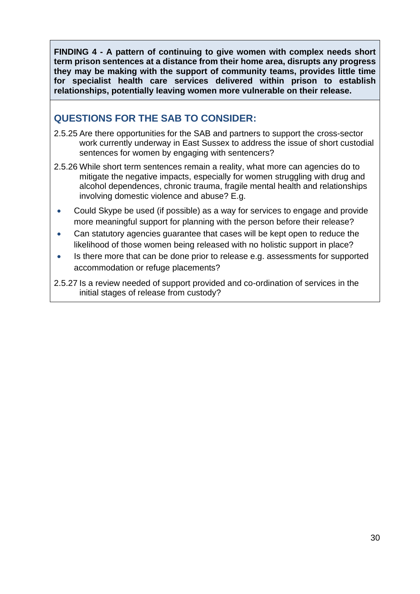**FINDING 4 - A pattern of continuing to give women with complex needs short term prison sentences at a distance from their home area, disrupts any progress they may be making with the support of community teams, provides little time for specialist health care services delivered within prison to establish relationships, potentially leaving women more vulnerable on their release.**

## **QUESTIONS FOR THE SAB TO CONSIDER:**

- 2.5.25 Are there opportunities for the SAB and partners to support the cross-sector work currently underway in East Sussex to address the issue of short custodial sentences for women by engaging with sentencers?
- 2.5.26 While short term sentences remain a reality, what more can agencies do to mitigate the negative impacts, especially for women struggling with drug and alcohol dependences, chronic trauma, fragile mental health and relationships involving domestic violence and abuse? E.g.
- Could Skype be used (if possible) as a way for services to engage and provide more meaningful support for planning with the person before their release?
- Can statutory agencies guarantee that cases will be kept open to reduce the likelihood of those women being released with no holistic support in place?
- Is there more that can be done prior to release e.g. assessments for supported accommodation or refuge placements?
- 2.5.27 Is a review needed of support provided and co-ordination of services in the initial stages of release from custody?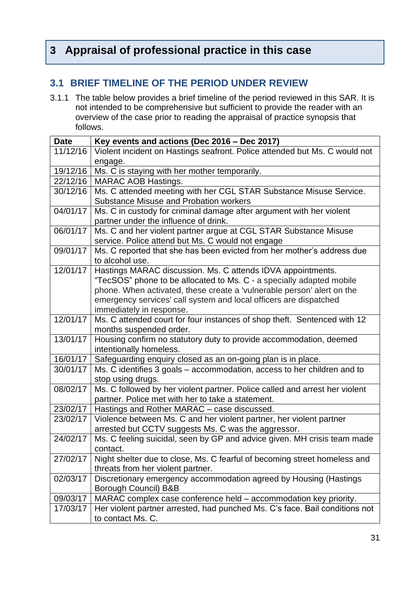# <span id="page-33-0"></span>**3 Appraisal of professional practice in this case**

#### <span id="page-33-1"></span>**3.1 BRIEF TIMELINE OF THE PERIOD UNDER REVIEW**

3.1.1 The table below provides a brief timeline of the period reviewed in this SAR. It is not intended to be comprehensive but sufficient to provide the reader with an overview of the case prior to reading the appraisal of practice synopsis that follows.

| <b>Date</b> | Key events and actions (Dec 2016 – Dec 2017)                                |
|-------------|-----------------------------------------------------------------------------|
| 11/12/16    | Violent incident on Hastings seafront. Police attended but Ms. C would not  |
|             | engage.                                                                     |
| 19/12/16    | Ms. C is staying with her mother temporarily.                               |
| 22/12/16    | <b>MARAC AOB Hastings.</b>                                                  |
| 30/12/16    | Ms. C attended meeting with her CGL STAR Substance Misuse Service.          |
|             | <b>Substance Misuse and Probation workers</b>                               |
| 04/01/17    | Ms. C in custody for criminal damage after argument with her violent        |
|             | partner under the influence of drink.                                       |
| 06/01/17    | Ms. C and her violent partner argue at CGL STAR Substance Misuse            |
|             | service. Police attend but Ms. C would not engage                           |
| 09/01/17    | Ms. C reported that she has been evicted from her mother's address due      |
|             | to alcohol use.                                                             |
| 12/01/17    | Hastings MARAC discussion. Ms. C attends IDVA appointments.                 |
|             | "TecSOS" phone to be allocated to Ms. C - a specially adapted mobile        |
|             | phone. When activated, these create a 'vulnerable person' alert on the      |
|             | emergency services' call system and local officers are dispatched           |
|             | immediately in response.                                                    |
| 12/01/17    | Ms. C attended court for four instances of shop theft. Sentenced with 12    |
|             | months suspended order.                                                     |
| 13/01/17    | Housing confirm no statutory duty to provide accommodation, deemed          |
|             | intentionally homeless.                                                     |
| 16/01/17    | Safeguarding enquiry closed as an on-going plan is in place.                |
| 30/01/17    | Ms. C identifies 3 goals – accommodation, access to her children and to     |
|             | stop using drugs.                                                           |
| 08/02/17    | Ms. C followed by her violent partner. Police called and arrest her violent |
|             | partner. Police met with her to take a statement.                           |
| 23/02/17    | Hastings and Rother MARAC - case discussed.                                 |
| 23/02/17    | Violence between Ms. C and her violent partner, her violent partner         |
|             | arrested but CCTV suggests Ms. C was the aggressor.                         |
| 24/02/17    | Ms. C feeling suicidal, seen by GP and advice given. MH crisis team made    |
|             | contact.                                                                    |
| 27/02/17    | Night shelter due to close, Ms. C fearful of becoming street homeless and   |
|             | threats from her violent partner.                                           |
| 02/03/17    | Discretionary emergency accommodation agreed by Housing (Hastings           |
|             | Borough Council) B&B                                                        |
| 09/03/17    | MARAC complex case conference held - accommodation key priority.            |
| 17/03/17    | Her violent partner arrested, had punched Ms. C's face. Bail conditions not |
|             | to contact Ms. C.                                                           |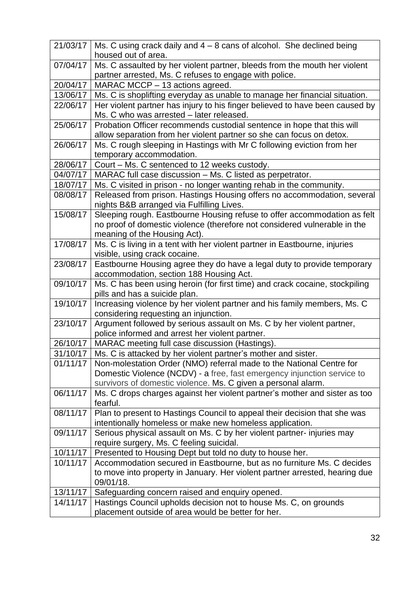| 21/03/17 | Ms. C using crack daily and $4 - 8$ cans of alcohol. She declined being                                      |
|----------|--------------------------------------------------------------------------------------------------------------|
|          | housed out of area.                                                                                          |
| 07/04/17 | Ms. C assaulted by her violent partner, bleeds from the mouth her violent                                    |
|          | partner arrested, Ms. C refuses to engage with police.                                                       |
| 20/04/17 | MARAC MCCP - 13 actions agreed.                                                                              |
| 13/06/17 | Ms. C is shoplifting everyday as unable to manage her financial situation.                                   |
| 22/06/17 | Her violent partner has injury to his finger believed to have been caused by                                 |
|          | Ms. C who was arrested - later released.                                                                     |
| 25/06/17 | Probation Officer recommends custodial sentence in hope that this will                                       |
|          | allow separation from her violent partner so she can focus on detox.                                         |
| 26/06/17 | Ms. C rough sleeping in Hastings with Mr C following eviction from her                                       |
|          | temporary accommodation.                                                                                     |
| 28/06/17 | Court – Ms. C sentenced to 12 weeks custody.                                                                 |
| 04/07/17 | MARAC full case discussion - Ms. C listed as perpetrator.                                                    |
| 18/07/17 | Ms. C visited in prison - no longer wanting rehab in the community.                                          |
| 08/08/17 | Released from prison. Hastings Housing offers no accommodation, several                                      |
|          | nights B&B arranged via Fulfilling Lives.                                                                    |
| 15/08/17 | Sleeping rough. Eastbourne Housing refuse to offer accommodation as felt                                     |
|          | no proof of domestic violence (therefore not considered vulnerable in the                                    |
|          | meaning of the Housing Act).                                                                                 |
| 17/08/17 | Ms. C is living in a tent with her violent partner in Eastbourne, injuries                                   |
|          | visible, using crack cocaine.                                                                                |
| 23/08/17 | Eastbourne Housing agree they do have a legal duty to provide temporary                                      |
|          | accommodation, section 188 Housing Act.                                                                      |
| 09/10/17 | Ms. C has been using heroin (for first time) and crack cocaine, stockpiling<br>pills and has a suicide plan. |
| 19/10/17 | Increasing violence by her violent partner and his family members, Ms. C                                     |
|          | considering requesting an injunction.                                                                        |
| 23/10/17 | Argument followed by serious assault on Ms. C by her violent partner,                                        |
|          | police informed and arrest her violent partner.                                                              |
| 26/10/17 | MARAC meeting full case discussion (Hastings).                                                               |
| 31/10/17 | Ms. C is attacked by her violent partner's mother and sister.                                                |
| 01/11/17 | Non-molestation Order (NMO) referral made to the National Centre for                                         |
|          | Domestic Violence (NCDV) - a free, fast emergency injunction service to                                      |
|          | survivors of domestic violence. Ms. C given a personal alarm.                                                |
| 06/11/17 | Ms. C drops charges against her violent partner's mother and sister as too                                   |
|          | fearful.                                                                                                     |
| 08/11/17 | Plan to present to Hastings Council to appeal their decision that she was                                    |
|          | intentionally homeless or make new homeless application.                                                     |
| 09/11/17 | Serious physical assault on Ms. C by her violent partner- injuries may                                       |
|          | require surgery, Ms. C feeling suicidal.                                                                     |
| 10/11/17 | Presented to Housing Dept but told no duty to house her.                                                     |
| 10/11/17 | Accommodation secured in Eastbourne, but as no furniture Ms. C decides                                       |
|          | to move into property in January. Her violent partner arrested, hearing due                                  |
|          | 09/01/18.                                                                                                    |
| 13/11/17 | Safeguarding concern raised and enquiry opened.                                                              |
| 14/11/17 | Hastings Council upholds decision not to house Ms. C, on grounds                                             |
|          | placement outside of area would be better for her.                                                           |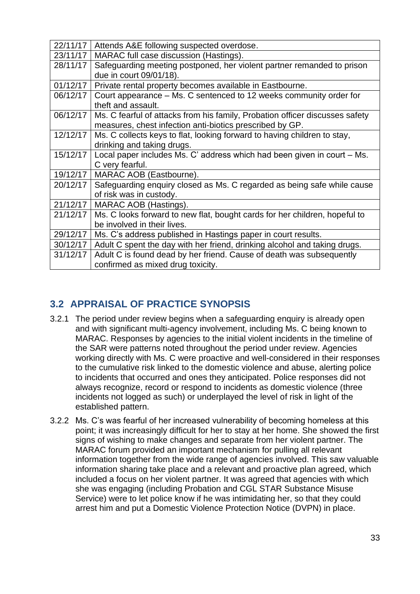| 22/11/17 | Attends A&E following suspected overdose.                                                                                                |
|----------|------------------------------------------------------------------------------------------------------------------------------------------|
| 23/11/17 | MARAC full case discussion (Hastings).                                                                                                   |
| 28/11/17 | Safeguarding meeting postponed, her violent partner remanded to prison<br>due in court 09/01/18).                                        |
| 01/12/17 | Private rental property becomes available in Eastbourne.                                                                                 |
| 06/12/17 | Court appearance – Ms. C sentenced to 12 weeks community order for<br>theft and assault.                                                 |
| 06/12/17 | Ms. C fearful of attacks from his family, Probation officer discusses safety<br>measures, chest infection anti-biotics prescribed by GP. |
| 12/12/17 | Ms. C collects keys to flat, looking forward to having children to stay,<br>drinking and taking drugs.                                   |
| 15/12/17 | Local paper includes Ms. C' address which had been given in court – Ms.<br>C very fearful.                                               |
| 19/12/17 | MARAC AOB (Eastbourne).                                                                                                                  |
| 20/12/17 | Safeguarding enquiry closed as Ms. C regarded as being safe while cause<br>of risk was in custody.                                       |
| 21/12/17 | MARAC AOB (Hastings).                                                                                                                    |
| 21/12/17 | Ms. C looks forward to new flat, bought cards for her children, hopeful to                                                               |
|          | be involved in their lives.                                                                                                              |
| 29/12/17 | Ms. C's address published in Hastings paper in court results.                                                                            |
| 30/12/17 | Adult C spent the day with her friend, drinking alcohol and taking drugs.                                                                |
| 31/12/17 | Adult C is found dead by her friend. Cause of death was subsequently<br>confirmed as mixed drug toxicity.                                |

## <span id="page-35-0"></span>**3.2 APPRAISAL OF PRACTICE SYNOPSIS**

- 3.2.1 The period under review begins when a safeguarding enquiry is already open and with significant multi-agency involvement, including Ms. C being known to MARAC. Responses by agencies to the initial violent incidents in the timeline of the SAR were patterns noted throughout the period under review. Agencies working directly with Ms. C were proactive and well-considered in their responses to the cumulative risk linked to the domestic violence and abuse, alerting police to incidents that occurred and ones they anticipated. Police responses did not always recognize, record or respond to incidents as domestic violence (three incidents not logged as such) or underplayed the level of risk in light of the established pattern.
- 3.2.2 Ms. C's was fearful of her increased vulnerability of becoming homeless at this point; it was increasingly difficult for her to stay at her home. She showed the first signs of wishing to make changes and separate from her violent partner. The MARAC forum provided an important mechanism for pulling all relevant information together from the wide range of agencies involved. This saw valuable information sharing take place and a relevant and proactive plan agreed, which included a focus on her violent partner. It was agreed that agencies with which she was engaging (including Probation and CGL STAR Substance Misuse Service) were to let police know if he was intimidating her, so that they could arrest him and put a Domestic Violence Protection Notice (DVPN) in place.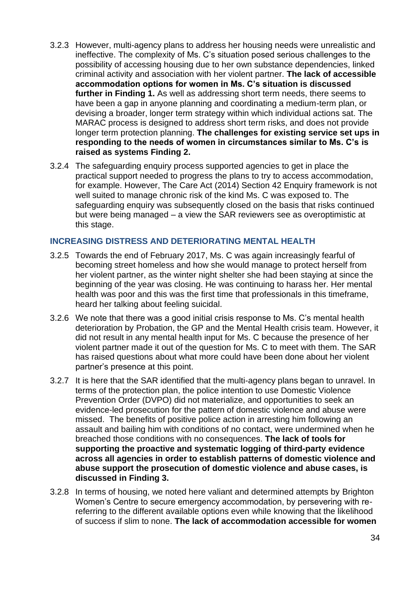- 3.2.3 However, multi-agency plans to address her housing needs were unrealistic and ineffective. The complexity of Ms. C's situation posed serious challenges to the possibility of accessing housing due to her own substance dependencies, linked criminal activity and association with her violent partner. **The lack of accessible accommodation options for women in Ms. C's situation is discussed further in Finding 1.** As well as addressing short term needs, there seems to have been a gap in anyone planning and coordinating a medium-term plan, or devising a broader, longer term strategy within which individual actions sat. The MARAC process is designed to address short term risks, and does not provide longer term protection planning. **The challenges for existing service set ups in responding to the needs of women in circumstances similar to Ms. C's is raised as systems Finding 2.**
- 3.2.4 The safeguarding enquiry process supported agencies to get in place the practical support needed to progress the plans to try to access accommodation, for example. However, The Care Act (2014) Section 42 Enquiry framework is not well suited to manage chronic risk of the kind Ms. C was exposed to. The safeguarding enquiry was subsequently closed on the basis that risks continued but were being managed – a view the SAR reviewers see as overoptimistic at this stage.

#### **INCREASING DISTRESS AND DETERIORATING MENTAL HEALTH**

- 3.2.5 Towards the end of February 2017, Ms. C was again increasingly fearful of becoming street homeless and how she would manage to protect herself from her violent partner, as the winter night shelter she had been staying at since the beginning of the year was closing. He was continuing to harass her. Her mental health was poor and this was the first time that professionals in this timeframe, heard her talking about feeling suicidal.
- 3.2.6 We note that there was a good initial crisis response to Ms. C's mental health deterioration by Probation, the GP and the Mental Health crisis team. However, it did not result in any mental health input for Ms. C because the presence of her violent partner made it out of the question for Ms. C to meet with them. The SAR has raised questions about what more could have been done about her violent partner's presence at this point.
- 3.2.7 It is here that the SAR identified that the multi-agency plans began to unravel. In terms of the protection plan, the police intention to use Domestic Violence Prevention Order (DVPO) did not materialize, and opportunities to seek an evidence-led prosecution for the pattern of domestic violence and abuse were missed. The benefits of positive police action in arresting him following an assault and bailing him with conditions of no contact, were undermined when he breached those conditions with no consequences. **The lack of tools for supporting the proactive and systematic logging of third-party evidence across all agencies in order to establish patterns of domestic violence and abuse support the prosecution of domestic violence and abuse cases, is discussed in Finding 3.**
- 3.2.8 In terms of housing, we noted here valiant and determined attempts by Brighton Women's Centre to secure emergency accommodation, by persevering with rereferring to the different available options even while knowing that the likelihood of success if slim to none. **The lack of accommodation accessible for women**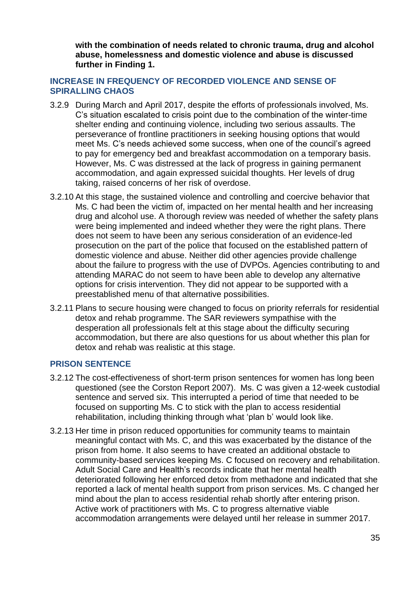**with the combination of needs related to chronic trauma, drug and alcohol abuse, homelessness and domestic violence and abuse is discussed further in Finding 1.**

#### **INCREASE IN FREQUENCY OF RECORDED VIOLENCE AND SENSE OF SPIRALLING CHAOS**

- 3.2.9 During March and April 2017, despite the efforts of professionals involved, Ms. C's situation escalated to crisis point due to the combination of the winter-time shelter ending and continuing violence, including two serious assaults. The perseverance of frontline practitioners in seeking housing options that would meet Ms. C's needs achieved some success, when one of the council's agreed to pay for emergency bed and breakfast accommodation on a temporary basis. However, Ms. C was distressed at the lack of progress in gaining permanent accommodation, and again expressed suicidal thoughts. Her levels of drug taking, raised concerns of her risk of overdose.
- 3.2.10 At this stage, the sustained violence and controlling and coercive behavior that Ms. C had been the victim of, impacted on her mental health and her increasing drug and alcohol use. A thorough review was needed of whether the safety plans were being implemented and indeed whether they were the right plans. There does not seem to have been any serious consideration of an evidence-led prosecution on the part of the police that focused on the established pattern of domestic violence and abuse. Neither did other agencies provide challenge about the failure to progress with the use of DVPOs. Agencies contributing to and attending MARAC do not seem to have been able to develop any alternative options for crisis intervention. They did not appear to be supported with a preestablished menu of that alternative possibilities.
- 3.2.11 Plans to secure housing were changed to focus on priority referrals for residential detox and rehab programme. The SAR reviewers sympathise with the desperation all professionals felt at this stage about the difficulty securing accommodation, but there are also questions for us about whether this plan for detox and rehab was realistic at this stage.

#### **PRISON SENTENCE**

- 3.2.12 The cost-effectiveness of short-term prison sentences for women has long been questioned (see the Corston Report 2007). Ms. C was given a 12-week custodial sentence and served six. This interrupted a period of time that needed to be focused on supporting Ms. C to stick with the plan to access residential rehabilitation, including thinking through what 'plan b' would look like.
- 3.2.13 Her time in prison reduced opportunities for community teams to maintain meaningful contact with Ms. C, and this was exacerbated by the distance of the prison from home. It also seems to have created an additional obstacle to community-based services keeping Ms. C focused on recovery and rehabilitation. Adult Social Care and Health's records indicate that her mental health deteriorated following her enforced detox from methadone and indicated that she reported a lack of mental health support from prison services. Ms. C changed her mind about the plan to access residential rehab shortly after entering prison. Active work of practitioners with Ms. C to progress alternative viable accommodation arrangements were delayed until her release in summer 2017.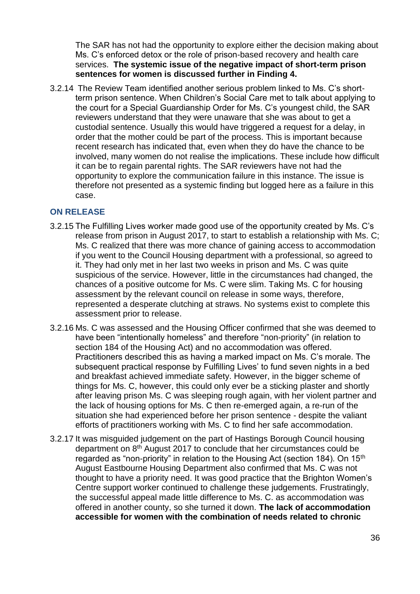The SAR has not had the opportunity to explore either the decision making about Ms. C's enforced detox or the role of prison-based recovery and health care services. **The systemic issue of the negative impact of short-term prison sentences for women is discussed further in Finding 4.**

3.2.14 The Review Team identified another serious problem linked to Ms. C's shortterm prison sentence. When Children's Social Care met to talk about applying to the court for a Special Guardianship Order for Ms. C's youngest child, the SAR reviewers understand that they were unaware that she was about to get a custodial sentence. Usually this would have triggered a request for a delay, in order that the mother could be part of the process. This is important because recent research has indicated that, even when they do have the chance to be involved, many women do not realise the implications. These include how difficult it can be to regain parental rights. The SAR reviewers have not had the opportunity to explore the communication failure in this instance. The issue is therefore not presented as a systemic finding but logged here as a failure in this case.

#### **ON RELEASE**

- 3.2.15 The Fulfilling Lives worker made good use of the opportunity created by Ms. C's release from prison in August 2017, to start to establish a relationship with Ms. C; Ms. C realized that there was more chance of gaining access to accommodation if you went to the Council Housing department with a professional, so agreed to it. They had only met in her last two weeks in prison and Ms. C was quite suspicious of the service. However, little in the circumstances had changed, the chances of a positive outcome for Ms. C were slim. Taking Ms. C for housing assessment by the relevant council on release in some ways, therefore, represented a desperate clutching at straws. No systems exist to complete this assessment prior to release.
- 3.2.16 Ms. C was assessed and the Housing Officer confirmed that she was deemed to have been "intentionally homeless" and therefore "non-priority" (in relation to section 184 of the Housing Act) and no accommodation was offered. Practitioners described this as having a marked impact on Ms. C's morale. The subsequent practical response by Fulfilling Lives' to fund seven nights in a bed and breakfast achieved immediate safety. However, in the bigger scheme of things for Ms. C, however, this could only ever be a sticking plaster and shortly after leaving prison Ms. C was sleeping rough again, with her violent partner and the lack of housing options for Ms. C then re-emerged again, a re-run of the situation she had experienced before her prison sentence - despite the valiant efforts of practitioners working with Ms. C to find her safe accommodation.
- 3.2.17 It was misguided judgement on the part of Hastings Borough Council housing department on 8<sup>th</sup> August 2017 to conclude that her circumstances could be regarded as "non-priority" in relation to the Housing Act (section 184). On 15<sup>th</sup> August Eastbourne Housing Department also confirmed that Ms. C was not thought to have a priority need. It was good practice that the Brighton Women's Centre support worker continued to challenge these judgements. Frustratingly, the successful appeal made little difference to Ms. C. as accommodation was offered in another county, so she turned it down. **The lack of accommodation accessible for women with the combination of needs related to chronic**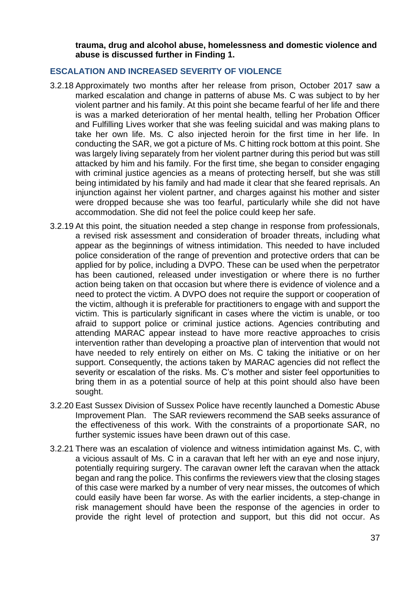**trauma, drug and alcohol abuse, homelessness and domestic violence and abuse is discussed further in Finding 1.**

#### **ESCALATION AND INCREASED SEVERITY OF VIOLENCE**

- 3.2.18 Approximately two months after her release from prison, October 2017 saw a marked escalation and change in patterns of abuse Ms. C was subject to by her violent partner and his family. At this point she became fearful of her life and there is was a marked deterioration of her mental health, telling her Probation Officer and Fulfilling Lives worker that she was feeling suicidal and was making plans to take her own life. Ms. C also injected heroin for the first time in her life. In conducting the SAR, we got a picture of Ms. C hitting rock bottom at this point. She was largely living separately from her violent partner during this period but was still attacked by him and his family. For the first time, she began to consider engaging with criminal justice agencies as a means of protecting herself, but she was still being intimidated by his family and had made it clear that she feared reprisals. An injunction against her violent partner, and charges against his mother and sister were dropped because she was too fearful, particularly while she did not have accommodation. She did not feel the police could keep her safe.
- 3.2.19 At this point, the situation needed a step change in response from professionals, a revised risk assessment and consideration of broader threats, including what appear as the beginnings of witness intimidation. This needed to have included police consideration of the range of prevention and protective orders that can be applied for by police, including a DVPO. These can be used when the perpetrator has been cautioned, released under investigation or where there is no further action being taken on that occasion but where there is evidence of violence and a need to protect the victim. A DVPO does not require the support or cooperation of the victim, although it is preferable for practitioners to engage with and support the victim. This is particularly significant in cases where the victim is unable, or too afraid to support police or criminal justice actions. Agencies contributing and attending MARAC appear instead to have more reactive approaches to crisis intervention rather than developing a proactive plan of intervention that would not have needed to rely entirely on either on Ms. C taking the initiative or on her support. Consequently, the actions taken by MARAC agencies did not reflect the severity or escalation of the risks. Ms. C's mother and sister feel opportunities to bring them in as a potential source of help at this point should also have been sought.
- 3.2.20 East Sussex Division of Sussex Police have recently launched a Domestic Abuse Improvement Plan. The SAR reviewers recommend the SAB seeks assurance of the effectiveness of this work. With the constraints of a proportionate SAR, no further systemic issues have been drawn out of this case.
- 3.2.21 There was an escalation of violence and witness intimidation against Ms. C, with a vicious assault of Ms. C in a caravan that left her with an eye and nose injury, potentially requiring surgery. The caravan owner left the caravan when the attack began and rang the police. This confirms the reviewers view that the closing stages of this case were marked by a number of very near misses, the outcomes of which could easily have been far worse. As with the earlier incidents, a step-change in risk management should have been the response of the agencies in order to provide the right level of protection and support, but this did not occur. As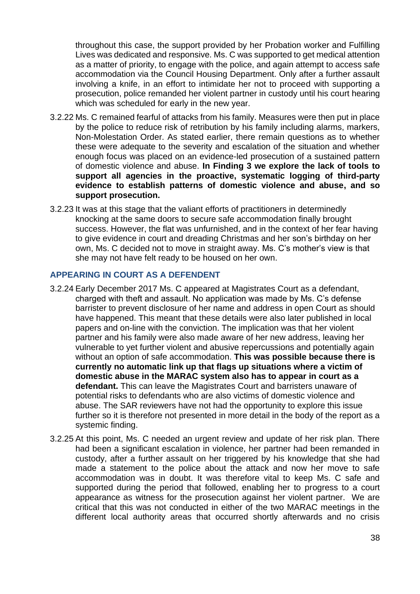throughout this case, the support provided by her Probation worker and Fulfilling Lives was dedicated and responsive. Ms. C was supported to get medical attention as a matter of priority, to engage with the police, and again attempt to access safe accommodation via the Council Housing Department. Only after a further assault involving a knife, in an effort to intimidate her not to proceed with supporting a prosecution, police remanded her violent partner in custody until his court hearing which was scheduled for early in the new year.

- 3.2.22 Ms. C remained fearful of attacks from his family. Measures were then put in place by the police to reduce risk of retribution by his family including alarms, markers, Non-Molestation Order. As stated earlier, there remain questions as to whether these were adequate to the severity and escalation of the situation and whether enough focus was placed on an evidence-led prosecution of a sustained pattern of domestic violence and abuse. **In Finding 3 we explore the lack of tools to support all agencies in the proactive, systematic logging of third-party evidence to establish patterns of domestic violence and abuse, and so support prosecution.**
- 3.2.23 It was at this stage that the valiant efforts of practitioners in determinedly knocking at the same doors to secure safe accommodation finally brought success. However, the flat was unfurnished, and in the context of her fear having to give evidence in court and dreading Christmas and her son's birthday on her own, Ms. C decided not to move in straight away. Ms. C's mother's view is that she may not have felt ready to be housed on her own.

#### **APPEARING IN COURT AS A DEFENDENT**

- 3.2.24 Early December 2017 Ms. C appeared at Magistrates Court as a defendant, charged with theft and assault. No application was made by Ms. C's defense barrister to prevent disclosure of her name and address in open Court as should have happened. This meant that these details were also later published in local papers and on-line with the conviction. The implication was that her violent partner and his family were also made aware of her new address, leaving her vulnerable to yet further violent and abusive repercussions and potentially again without an option of safe accommodation. **This was possible because there is currently no automatic link up that flags up situations where a victim of domestic abuse in the MARAC system also has to appear in court as a defendant.** This can leave the Magistrates Court and barristers unaware of potential risks to defendants who are also victims of domestic violence and abuse. The SAR reviewers have not had the opportunity to explore this issue further so it is therefore not presented in more detail in the body of the report as a systemic finding.
- 3.2.25 At this point, Ms. C needed an urgent review and update of her risk plan. There had been a significant escalation in violence, her partner had been remanded in custody, after a further assault on her triggered by his knowledge that she had made a statement to the police about the attack and now her move to safe accommodation was in doubt. It was therefore vital to keep Ms. C safe and supported during the period that followed, enabling her to progress to a court appearance as witness for the prosecution against her violent partner. We are critical that this was not conducted in either of the two MARAC meetings in the different local authority areas that occurred shortly afterwards and no crisis